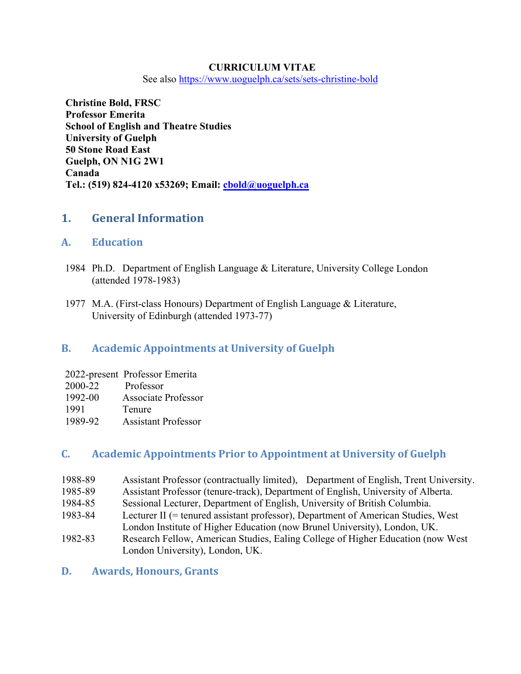## **CURRICULUM VITAE**

See also <https://www.uoguelph.ca/sets/sets-christine-bold>

**Christine Bold, FRSC Professor Emerita School of English and Theatre Studies University of Guelph 50 Stone Road East Guelph, ON N1G 2W1 Canada Tel.: (519) 824-4120 x53269; Email: [cbold@uoguelph.ca](mailto:cbold@uoguelph.ca)**

# **1. General Information**

## **A. Education**

- 1984 Ph.D. Department of English Language & Literature, University College London (attended 1978-1983)
- 1977 M.A. (First-class Honours) Department of English Language & Literature, University of Edinburgh (attended 1973-77)

# **B. Academic Appointments at University of Guelph**

|         | 2022-present Professor Emerita |
|---------|--------------------------------|
| 2000-22 | Professor                      |
| 1992-00 | <b>Associate Professor</b>     |
| 1991    | Tenure                         |
| 1989-92 | <b>Assistant Professor</b>     |

# **C. Academic Appointments Prior to Appointment at University of Guelph**

- 1988-89 Assistant Professor (contractually limited), Department of English, Trent University.
- 1985-89 Assistant Professor (tenure-track), Department of English, University of Alberta.
- 1984-85 Sessional Lecturer, Department of English, University of British Columbia.
- 1983-84 Lecturer II (= tenured assistant professor), Department of American Studies, West London Institute of Higher Education (now Brunel University), London, UK.
- 1982-83 Research Fellow, American Studies, Ealing College of Higher Education (now West London University), London, UK.

## **D. Awards, Honours, Grants**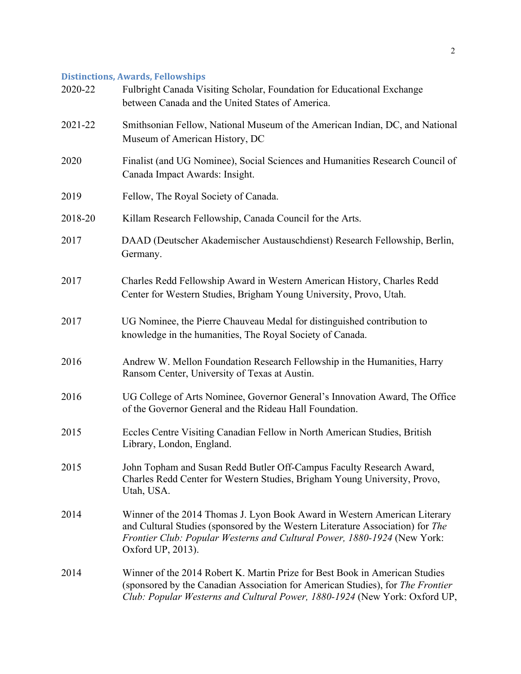# **Distinctions, Awards, Fellowships**

| 2020-22 | Fulbright Canada Visiting Scholar, Foundation for Educational Exchange<br>between Canada and the United States of America.                                                                                                                                   |
|---------|--------------------------------------------------------------------------------------------------------------------------------------------------------------------------------------------------------------------------------------------------------------|
| 2021-22 | Smithsonian Fellow, National Museum of the American Indian, DC, and National<br>Museum of American History, DC                                                                                                                                               |
| 2020    | Finalist (and UG Nominee), Social Sciences and Humanities Research Council of<br>Canada Impact Awards: Insight.                                                                                                                                              |
| 2019    | Fellow, The Royal Society of Canada.                                                                                                                                                                                                                         |
| 2018-20 | Killam Research Fellowship, Canada Council for the Arts.                                                                                                                                                                                                     |
| 2017    | DAAD (Deutscher Akademischer Austauschdienst) Research Fellowship, Berlin,<br>Germany.                                                                                                                                                                       |
| 2017    | Charles Redd Fellowship Award in Western American History, Charles Redd<br>Center for Western Studies, Brigham Young University, Provo, Utah.                                                                                                                |
| 2017    | UG Nominee, the Pierre Chauveau Medal for distinguished contribution to<br>knowledge in the humanities, The Royal Society of Canada.                                                                                                                         |
| 2016    | Andrew W. Mellon Foundation Research Fellowship in the Humanities, Harry<br>Ransom Center, University of Texas at Austin.                                                                                                                                    |
| 2016    | UG College of Arts Nominee, Governor General's Innovation Award, The Office<br>of the Governor General and the Rideau Hall Foundation.                                                                                                                       |
| 2015    | Eccles Centre Visiting Canadian Fellow in North American Studies, British<br>Library, London, England.                                                                                                                                                       |
| 2015    | John Topham and Susan Redd Butler Off-Campus Faculty Research Award,<br>Charles Redd Center for Western Studies, Brigham Young University, Provo,<br>Utah, USA.                                                                                              |
| 2014    | Winner of the 2014 Thomas J. Lyon Book Award in Western American Literary<br>and Cultural Studies (sponsored by the Western Literature Association) for The<br>Frontier Club: Popular Westerns and Cultural Power, 1880-1924 (New York:<br>Oxford UP, 2013). |
| 2014    | Winner of the 2014 Robert K. Martin Prize for Best Book in American Studies<br>(sponsored by the Canadian Association for American Studies), for The Frontier<br>Club: Popular Westerns and Cultural Power, 1880-1924 (New York: Oxford UP,                  |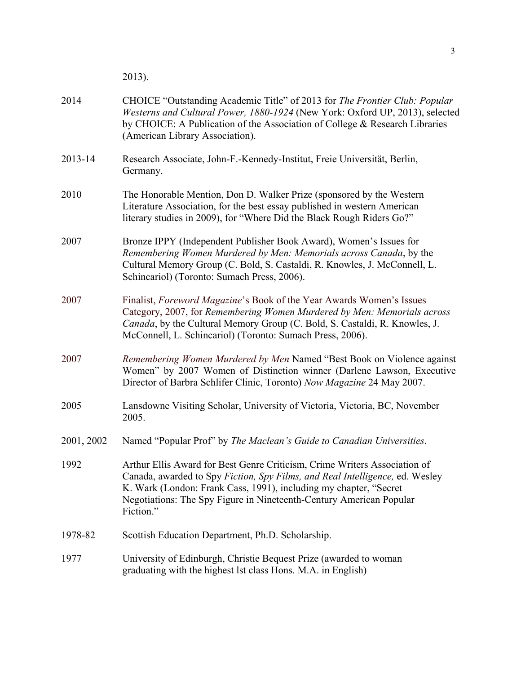2013).

| 2014       | CHOICE "Outstanding Academic Title" of 2013 for The Frontier Club: Popular<br>Westerns and Cultural Power, 1880-1924 (New York: Oxford UP, 2013), selected<br>by CHOICE: A Publication of the Association of College & Research Libraries<br>(American Library Association).                                       |
|------------|--------------------------------------------------------------------------------------------------------------------------------------------------------------------------------------------------------------------------------------------------------------------------------------------------------------------|
| 2013-14    | Research Associate, John-F.-Kennedy-Institut, Freie Universität, Berlin,<br>Germany.                                                                                                                                                                                                                               |
| 2010       | The Honorable Mention, Don D. Walker Prize (sponsored by the Western<br>Literature Association, for the best essay published in western American<br>literary studies in 2009), for "Where Did the Black Rough Riders Go?"                                                                                          |
| 2007       | Bronze IPPY (Independent Publisher Book Award), Women's Issues for<br>Remembering Women Murdered by Men: Memorials across Canada, by the<br>Cultural Memory Group (C. Bold, S. Castaldi, R. Knowles, J. McConnell, L.<br>Schincariol) (Toronto: Sumach Press, 2006).                                               |
| 2007       | Finalist, Foreword Magazine's Book of the Year Awards Women's Issues<br>Category, 2007, for Remembering Women Murdered by Men: Memorials across<br>Canada, by the Cultural Memory Group (C. Bold, S. Castaldi, R. Knowles, J.<br>McConnell, L. Schincariol) (Toronto: Sumach Press, 2006).                         |
| 2007       | Remembering Women Murdered by Men Named "Best Book on Violence against<br>Women" by 2007 Women of Distinction winner (Darlene Lawson, Executive<br>Director of Barbra Schlifer Clinic, Toronto) Now Magazine 24 May 2007.                                                                                          |
| 2005       | Lansdowne Visiting Scholar, University of Victoria, Victoria, BC, November<br>2005.                                                                                                                                                                                                                                |
| 2001, 2002 | Named "Popular Prof" by The Maclean's Guide to Canadian Universities.                                                                                                                                                                                                                                              |
| 1992       | Arthur Ellis Award for Best Genre Criticism, Crime Writers Association of<br>Canada, awarded to Spy Fiction, Spy Films, and Real Intelligence, ed. Wesley<br>K. Wark (London: Frank Cass, 1991), including my chapter, "Secret<br>Negotiations: The Spy Figure in Nineteenth-Century American Popular<br>Fiction." |
| 1978-82    | Scottish Education Department, Ph.D. Scholarship.                                                                                                                                                                                                                                                                  |
| 1977       | University of Edinburgh, Christie Bequest Prize (awarded to woman<br>graduating with the highest lst class Hons. M.A. in English)                                                                                                                                                                                  |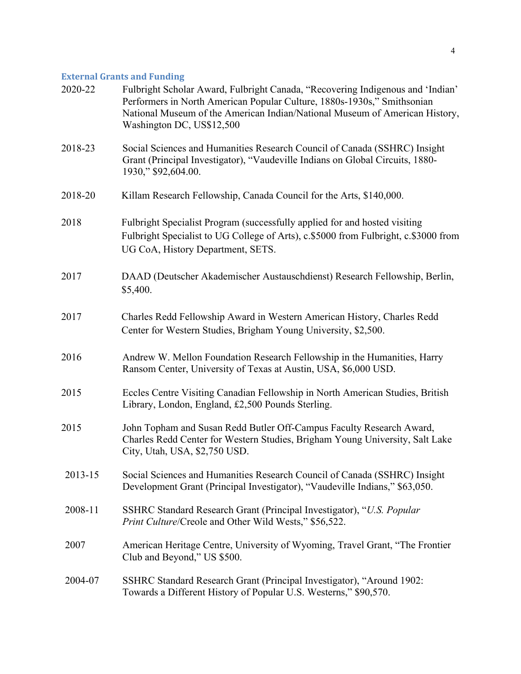# **External Grants and Funding**

| 2020-22 | Fulbright Scholar Award, Fulbright Canada, "Recovering Indigenous and 'Indian'<br>Performers in North American Popular Culture, 1880s-1930s," Smithsonian<br>National Museum of the American Indian/National Museum of American History,<br>Washington DC, US\$12,500 |
|---------|-----------------------------------------------------------------------------------------------------------------------------------------------------------------------------------------------------------------------------------------------------------------------|
| 2018-23 | Social Sciences and Humanities Research Council of Canada (SSHRC) Insight<br>Grant (Principal Investigator), "Vaudeville Indians on Global Circuits, 1880-<br>1930," \$92,604.00.                                                                                     |
| 2018-20 | Killam Research Fellowship, Canada Council for the Arts, \$140,000.                                                                                                                                                                                                   |
| 2018    | Fulbright Specialist Program (successfully applied for and hosted visiting<br>Fulbright Specialist to UG College of Arts), c.\$5000 from Fulbright, c.\$3000 from<br>UG CoA, History Department, SETS.                                                                |
| 2017    | DAAD (Deutscher Akademischer Austauschdienst) Research Fellowship, Berlin,<br>\$5,400.                                                                                                                                                                                |
| 2017    | Charles Redd Fellowship Award in Western American History, Charles Redd<br>Center for Western Studies, Brigham Young University, \$2,500.                                                                                                                             |
| 2016    | Andrew W. Mellon Foundation Research Fellowship in the Humanities, Harry<br>Ransom Center, University of Texas at Austin, USA, \$6,000 USD.                                                                                                                           |
| 2015    | Eccles Centre Visiting Canadian Fellowship in North American Studies, British<br>Library, London, England, £2,500 Pounds Sterling.                                                                                                                                    |
| 2015    | John Topham and Susan Redd Butler Off-Campus Faculty Research Award,<br>Charles Redd Center for Western Studies, Brigham Young University, Salt Lake<br>City, Utah, USA, \$2,750 USD.                                                                                 |
| 2013-15 | Social Sciences and Humanities Research Council of Canada (SSHRC) Insight<br>Development Grant (Principal Investigator), "Vaudeville Indians," \$63,050.                                                                                                              |
| 2008-11 | SSHRC Standard Research Grant (Principal Investigator), "U.S. Popular<br>Print Culture/Creole and Other Wild Wests," \$56,522.                                                                                                                                        |
| 2007    | American Heritage Centre, University of Wyoming, Travel Grant, "The Frontier<br>Club and Beyond," US \$500.                                                                                                                                                           |
| 2004-07 | SSHRC Standard Research Grant (Principal Investigator), "Around 1902:<br>Towards a Different History of Popular U.S. Westerns," \$90,570.                                                                                                                             |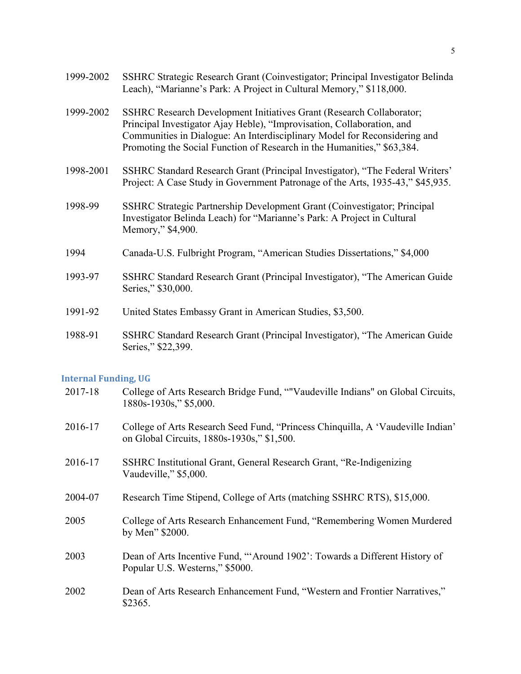| 1999-2002 | SSHRC Strategic Research Grant (Coinvestigator; Principal Investigator Belinda<br>Leach), "Marianne's Park: A Project in Cultural Memory," \$118,000.                                                                                                                                                  |
|-----------|--------------------------------------------------------------------------------------------------------------------------------------------------------------------------------------------------------------------------------------------------------------------------------------------------------|
| 1999-2002 | SSHRC Research Development Initiatives Grant (Research Collaborator;<br>Principal Investigator Ajay Heble), "Improvisation, Collaboration, and<br>Communities in Dialogue: An Interdisciplinary Model for Reconsidering and<br>Promoting the Social Function of Research in the Humanities," \$63,384. |
| 1998-2001 | SSHRC Standard Research Grant (Principal Investigator), "The Federal Writers'<br>Project: A Case Study in Government Patronage of the Arts, 1935-43," \$45,935.                                                                                                                                        |
| 1998-99   | SSHRC Strategic Partnership Development Grant (Coinvestigator; Principal<br>Investigator Belinda Leach) for "Marianne's Park: A Project in Cultural<br>Memory," \$4,900.                                                                                                                               |
| 1994      | Canada-U.S. Fulbright Program, "American Studies Dissertations," \$4,000                                                                                                                                                                                                                               |
| 1993-97   | SSHRC Standard Research Grant (Principal Investigator), "The American Guide<br>Series," \$30,000.                                                                                                                                                                                                      |
| 1991-92   | United States Embassy Grant in American Studies, \$3,500.                                                                                                                                                                                                                                              |
| 1988-91   | SSHRC Standard Research Grant (Principal Investigator), "The American Guide<br>Series," \$22,399.                                                                                                                                                                                                      |

# **Internal Funding, UG**

| 2017-18 | College of Arts Research Bridge Fund, ""Vaudeville Indians" on Global Circuits,<br>1880s-1930s," \$5,000.                     |
|---------|-------------------------------------------------------------------------------------------------------------------------------|
| 2016-17 | College of Arts Research Seed Fund, "Princess Chinquilla, A 'Vaudeville Indian'<br>on Global Circuits, 1880s-1930s," \$1,500. |
| 2016-17 | SSHRC Institutional Grant, General Research Grant, "Re-Indigenizing<br>Vaudeville," \$5,000.                                  |
| 2004-07 | Research Time Stipend, College of Arts (matching SSHRC RTS), \$15,000.                                                        |
| 2005    | College of Arts Research Enhancement Fund, "Remembering Women Murdered<br>by Men" \$2000.                                     |
| 2003    | Dean of Arts Incentive Fund, "Around 1902": Towards a Different History of<br>Popular U.S. Westerns," \$5000.                 |
| 2002    | Dean of Arts Research Enhancement Fund, "Western and Frontier Narratives,"<br>\$2365.                                         |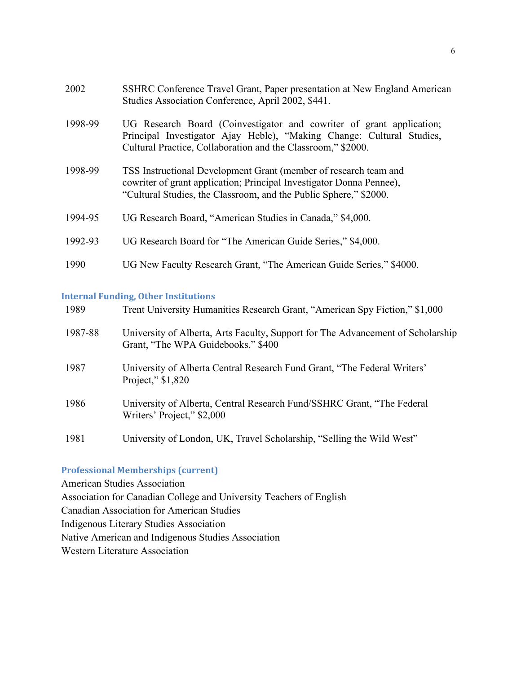| 2002    | SSHRC Conference Travel Grant, Paper presentation at New England American<br>Studies Association Conference, April 2002, \$441.                                                                               |
|---------|---------------------------------------------------------------------------------------------------------------------------------------------------------------------------------------------------------------|
| 1998-99 | UG Research Board (Coinvestigator and cowriter of grant application;<br>Principal Investigator Ajay Heble), "Making Change: Cultural Studies,<br>Cultural Practice, Collaboration and the Classroom," \$2000. |
| 1998-99 | TSS Instructional Development Grant (member of research team and<br>cowriter of grant application; Principal Investigator Donna Pennee),<br>"Cultural Studies, the Classroom, and the Public Sphere," \$2000. |
| 1994-95 | UG Research Board, "American Studies in Canada," \$4,000.                                                                                                                                                     |
| 1992-93 | UG Research Board for "The American Guide Series," \$4,000.                                                                                                                                                   |
| 1990    | UG New Faculty Research Grant, "The American Guide Series," \$4000.                                                                                                                                           |

# **Internal Funding, Other Institutions**

| 1989    | Trent University Humanities Research Grant, "American Spy Fiction," \$1,000                                           |
|---------|-----------------------------------------------------------------------------------------------------------------------|
| 1987-88 | University of Alberta, Arts Faculty, Support for The Advancement of Scholarship<br>Grant, "The WPA Guidebooks," \$400 |
| 1987    | University of Alberta Central Research Fund Grant, "The Federal Writers'<br>Project," \$1,820                         |
| 1986    | University of Alberta, Central Research Fund/SSHRC Grant, "The Federal<br>Writers' Project," \$2,000                  |
| 1981    | University of London, UK, Travel Scholarship, "Selling the Wild West"                                                 |

# **Professional Memberships (current)**

American Studies Association Association for Canadian College and University Teachers of English Canadian Association for American Studies Indigenous Literary Studies Association Native American and Indigenous Studies Association Western Literature Association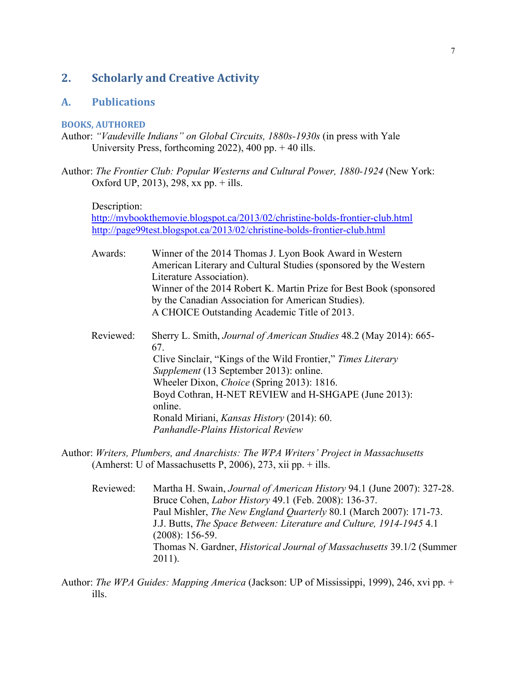# **2. Scholarly and Creative Activity**

## **A. Publications**

## **BOOKS, AUTHORED**

- Author: *"Vaudeville Indians" on Global Circuits, 1880s-1930s* (in press with Yale University Press, forthcoming 2022), 400 pp. + 40 ills.
- Author: *The Frontier Club: Popular Westerns and Cultural Power, 1880-1924* (New York: Oxford UP, 2013), 298, xx pp. + ills.

Description:

<http://mybookthemovie.blogspot.ca/2013/02/christine-bolds-frontier-club.html> <http://page99test.blogspot.ca/2013/02/christine-bolds-frontier-club.html>

- Awards: Winner of the 2014 Thomas J. Lyon Book Award in Western American Literary and Cultural Studies (sponsored by the Western Literature Association). Winner of the 2014 Robert K. Martin Prize for Best Book (sponsored by the Canadian Association for American Studies). A CHOICE Outstanding Academic Title of 2013.
- Reviewed: Sherry L. Smith, *Journal of American Studies* 48.2 (May 2014): 665- 67. Clive Sinclair, "Kings of the Wild Frontier," *Times Literary Supplement* (13 September 2013): online. Wheeler Dixon, *Choice* (Spring 2013): 1816. Boyd Cothran, H-NET REVIEW and H-SHGAPE (June 2013): online. Ronald Miriani, *Kansas History* (2014): 60. *Panhandle-Plains Historical Review*
- Author: *Writers, Plumbers, and Anarchists: The WPA Writers' Project in Massachusetts* (Amherst: U of Massachusetts P, 2006), 273, xii pp.  $+$  ills.
	- Reviewed: Martha H. Swain, *Journal of American History* 94.1 (June 2007): 327-28. Bruce Cohen, *Labor History* 49.1 (Feb. 2008): 136-37. Paul Mishler, *The New England Quarterly* 80.1 (March 2007): 171-73. J.J. Butts, *The Space Between: Literature and Culture, 1914-1945* 4.1 (2008): 156-59. Thomas N. Gardner, *Historical Journal of Massachusetts* 39.1/2 (Summer 2011).
- Author: *The WPA Guides: Mapping America* (Jackson: UP of Mississippi, 1999), 246, xvi pp. + ills.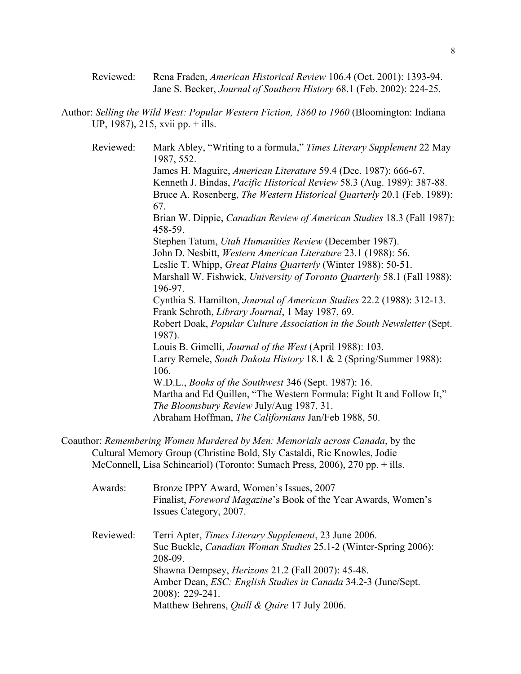Reviewed: Rena Fraden, *American Historical Review* 106.4 (Oct. 2001): 1393-94. Jane S. Becker, *Journal of Southern History* 68.1 (Feb. 2002): 224-25.

Author: *Selling the Wild West: Popular Western Fiction, 1860 to 1960* (Bloomington: Indiana UP, 1987), 215, xvii pp. + ills.

Reviewed: Mark Abley, "Writing to a formula," *Times Literary Supplement* 22 May 1987, 552. James H. Maguire, *American Literature* 59.4 (Dec. 1987): 666-67. Kenneth J. Bindas, *Pacific Historical Review* 58.3 (Aug. 1989): 387-88. Bruce A. Rosenberg, *The Western Historical Quarterly* 20.1 (Feb. 1989): 67. Brian W. Dippie, *Canadian Review of American Studies* 18.3 (Fall 1987): 458-59. Stephen Tatum, *Utah Humanities Review* (December 1987). John D. Nesbitt, *Western American Literature* 23.1 (1988): 56. Leslie T. Whipp, *Great Plains Quarterly* (Winter 1988): 50-51. Marshall W. Fishwick, *University of Toronto Quarterly* 58.1 (Fall 1988): 196-97. Cynthia S. Hamilton, *Journal of American Studies* 22.2 (1988): 312-13. Frank Schroth, *Library Journal*, 1 May 1987, 69. Robert Doak, *Popular Culture Association in the South Newsletter* (Sept. 1987). Louis B. Gimelli, *Journal of the West* (April 1988): 103. Larry Remele, *South Dakota History* 18.1 & 2 (Spring/Summer 1988): 106. W.D.L., *Books of the Southwest* 346 (Sept. 1987): 16. Martha and Ed Quillen, "The Western Formula: Fight It and Follow It," *The Bloomsbury Review* July/Aug 1987, 31. Abraham Hoffman, *The Californians* Jan/Feb 1988, 50.

Coauthor: *Remembering Women Murdered by Men: Memorials across Canada*, by the Cultural Memory Group (Christine Bold, Sly Castaldi, Ric Knowles, Jodie McConnell, Lisa Schincariol) (Toronto: Sumach Press, 2006), 270 pp. + ills.

| Awards:   | Bronze IPPY Award, Women's Issues, 2007<br>Finalist, <i>Foreword Magazine</i> 's Book of the Year Awards, Women's<br>Issues Category, 2007. |
|-----------|---------------------------------------------------------------------------------------------------------------------------------------------|
| Reviewed: | Terri Apter, Times Literary Supplement, 23 June 2006.<br>Sue Buckle, <i>Canadian Woman Studies</i> 25.1-2 (Winter-Spring 2006):<br>208-09.  |
|           | Shawna Dempsey, <i>Herizons</i> 21.2 (Fall 2007): 45-48.                                                                                    |
|           | Amber Dean, <i>ESC: English Studies in Canada</i> 34.2-3 (June/Sept.                                                                        |
|           | 2008): 229-241.                                                                                                                             |
|           | Matthew Behrens, <i>Quill &amp; Quire</i> 17 July 2006.                                                                                     |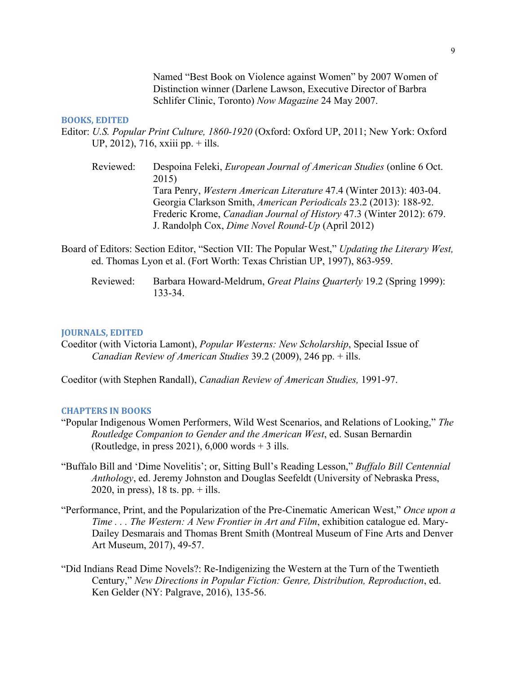Named "Best Book on Violence against Women" by 2007 Women of Distinction winner (Darlene Lawson, Executive Director of Barbra Schlifer Clinic, Toronto) *Now Magazine* 24 May 2007.

#### **BOOKS, EDITED**

- Editor: *U.S. Popular Print Culture, 1860-1920* (Oxford: Oxford UP, 2011; New York: Oxford UP, 2012), 716, xxiii pp. + ills.
	- Reviewed: Despoina Feleki, *European Journal of American Studies* (online 6 Oct. 2015) Tara Penry, *Western American Literature* 47.4 (Winter 2013): 403-04. Georgia Clarkson Smith, *American Periodicals* 23.2 (2013): 188-92. Frederic Krome, *Canadian Journal of History* 47.3 (Winter 2012): 679. J. Randolph Cox, *Dime Novel Round-Up* (April 2012)
- Board of Editors: Section Editor, "Section VII: The Popular West," *Updating the Literary West,*  ed. Thomas Lyon et al. (Fort Worth: Texas Christian UP, 1997), 863-959.
	- Reviewed: Barbara Howard-Meldrum, *Great Plains Quarterly* 19.2 (Spring 1999): 133-34.

## **JOURNALS, EDITED**

Coeditor (with Victoria Lamont), *Popular Westerns: New Scholarship*, Special Issue of *Canadian Review of American Studies* 39.2 (2009), 246 pp. + ills.

Coeditor (with Stephen Randall), *Canadian Review of American Studies,* 1991-97.

#### **CHAPTERS IN BOOKS**

- "Popular Indigenous Women Performers, Wild West Scenarios, and Relations of Looking," *The Routledge Companion to Gender and the American West*, ed. Susan Bernardin (Routledge, in press 2021),  $6,000$  words  $+3$  ills.
- "Buffalo Bill and 'Dime Novelitis'; or, Sitting Bull's Reading Lesson," *Buffalo Bill Centennial Anthology*, ed. Jeremy Johnston and Douglas Seefeldt (University of Nebraska Press, 2020, in press),  $18$  ts. pp.  $+$  ills.
- "Performance, Print, and the Popularization of the Pre-Cinematic American West," *Once upon a Time . . . The Western: A New Frontier in Art and Film*, exhibition catalogue ed. Mary-Dailey Desmarais and Thomas Brent Smith (Montreal Museum of Fine Arts and Denver Art Museum, 2017), 49-57.
- "Did Indians Read Dime Novels?: Re-Indigenizing the Western at the Turn of the Twentieth Century," *New Directions in Popular Fiction: Genre, Distribution, Reproduction*, ed. Ken Gelder (NY: Palgrave, 2016), 135-56.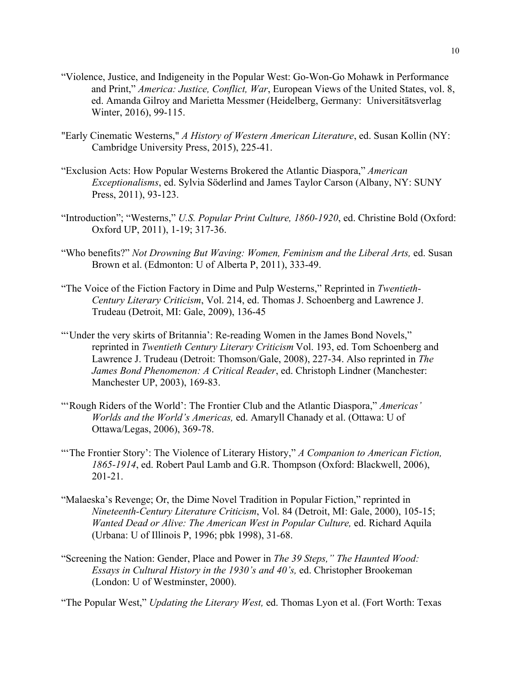- "Violence, Justice, and Indigeneity in the Popular West: Go-Won-Go Mohawk in Performance and Print," *America: Justice, Conflict, War*, European Views of the United States, vol. 8, ed. Amanda Gilroy and Marietta Messmer (Heidelberg, Germany: Universitätsverlag Winter, 2016), 99-115.
- "Early Cinematic Westerns," *A History of Western American Literature*, ed. Susan Kollin (NY: Cambridge University Press, 2015), 225-41.
- "Exclusion Acts: How Popular Westerns Brokered the Atlantic Diaspora," *American Exceptionalisms*, ed. Sylvia Söderlind and James Taylor Carson (Albany, NY: SUNY Press, 2011), 93-123.
- "Introduction"; "Westerns," *U.S. Popular Print Culture, 1860-1920*, ed. Christine Bold (Oxford: Oxford UP, 2011), 1-19; 317-36.
- "Who benefits?" *Not Drowning But Waving: Women, Feminism and the Liberal Arts, ed. Susan* Brown et al. (Edmonton: U of Alberta P, 2011), 333-49.
- "The Voice of the Fiction Factory in Dime and Pulp Westerns," Reprinted in *Twentieth-Century Literary Criticism*, Vol. 214, ed. Thomas J. Schoenberg and Lawrence J. Trudeau (Detroit, MI: Gale, 2009), 136-45
- "'Under the very skirts of Britannia': Re-reading Women in the James Bond Novels," reprinted in *Twentieth Century Literary Criticism* Vol. 193, ed. Tom Schoenberg and Lawrence J. Trudeau (Detroit: Thomson/Gale, 2008), 227-34. Also reprinted in *The James Bond Phenomenon: A Critical Reader*, ed. Christoph Lindner (Manchester: Manchester UP, 2003), 169-83.
- "'Rough Riders of the World': The Frontier Club and the Atlantic Diaspora," *Americas' Worlds and the World's Americas,* ed. Amaryll Chanady et al. (Ottawa: U of Ottawa/Legas, 2006), 369-78.
- "'The Frontier Story': The Violence of Literary History," *A Companion to American Fiction, 1865-1914*, ed. Robert Paul Lamb and G.R. Thompson (Oxford: Blackwell, 2006), 201-21.
- "Malaeska's Revenge; Or, the Dime Novel Tradition in Popular Fiction," reprinted in *Nineteenth-Century Literature Criticism*, Vol. 84 (Detroit, MI: Gale, 2000), 105-15; *Wanted Dead or Alive: The American West in Popular Culture,* ed. Richard Aquila (Urbana: U of Illinois P, 1996; pbk 1998), 31-68.
- "Screening the Nation: Gender, Place and Power in *The 39 Steps," The Haunted Wood: Essays in Cultural History in the 1930's and 40's,* ed. Christopher Brookeman (London: U of Westminster, 2000).

"The Popular West," *Updating the Literary West,* ed. Thomas Lyon et al. (Fort Worth: Texas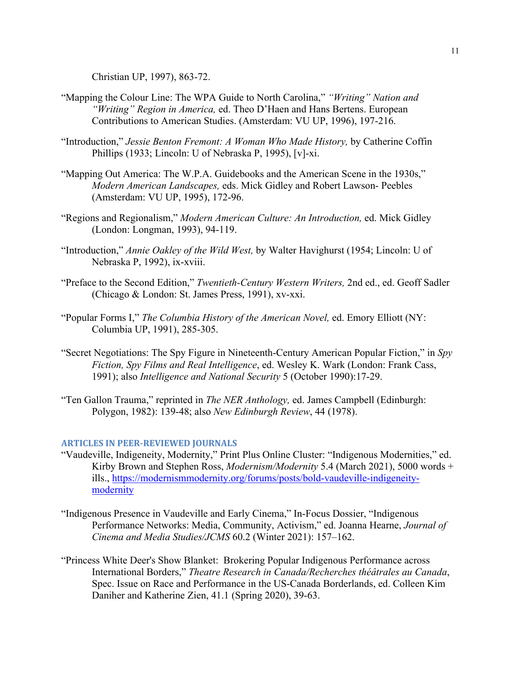Christian UP, 1997), 863-72.

- "Mapping the Colour Line: The WPA Guide to North Carolina," *"Writing" Nation and "Writing" Region in America,* ed. Theo D'Haen and Hans Bertens. European Contributions to American Studies. (Amsterdam: VU UP, 1996), 197-216.
- "Introduction," *Jessie Benton Fremont: A Woman Who Made History,* by Catherine Coffin Phillips (1933; Lincoln: U of Nebraska P, 1995), [v]-xi.
- "Mapping Out America: The W.P.A. Guidebooks and the American Scene in the 1930s," *Modern American Landscapes,* eds. Mick Gidley and Robert Lawson- Peebles (Amsterdam: VU UP, 1995), 172-96.
- "Regions and Regionalism," *Modern American Culture: An Introduction,* ed. Mick Gidley (London: Longman, 1993), 94-119.
- "Introduction," *Annie Oakley of the Wild West,* by Walter Havighurst (1954; Lincoln: U of Nebraska P, 1992), ix-xviii.
- "Preface to the Second Edition," *Twentieth-Century Western Writers,* 2nd ed., ed. Geoff Sadler (Chicago & London: St. James Press, 1991), xv-xxi.
- "Popular Forms I," *The Columbia History of the American Novel,* ed. Emory Elliott (NY: Columbia UP, 1991), 285-305.
- "Secret Negotiations: The Spy Figure in Nineteenth-Century American Popular Fiction," in *Spy Fiction, Spy Films and Real Intelligence*, ed. Wesley K. Wark (London: Frank Cass, 1991); also *Intelligence and National Security* 5 (October 1990):17-29.
- "Ten Gallon Trauma," reprinted in *The NER Anthology,* ed. James Campbell (Edinburgh: Polygon, 1982): 139-48; also *New Edinburgh Review*, 44 (1978).

## **ARTICLES IN PEER-REVIEWED JOURNALS**

- "Vaudeville, Indigeneity, Modernity," Print Plus Online Cluster: "Indigenous Modernities," ed. Kirby Brown and Stephen Ross, *Modernism/Modernity* 5.4 (March 2021), 5000 words + ills., [https://modernismmodernity.org/forums/posts/bold-vaudeville-indigeneity](https://modernismmodernity.org/forums/posts/bold-vaudeville-indigeneity-modernity)[modernity](https://modernismmodernity.org/forums/posts/bold-vaudeville-indigeneity-modernity)
- "Indigenous Presence in Vaudeville and Early Cinema," In-Focus Dossier, "Indigenous Performance Networks: Media, Community, Activism," ed. Joanna Hearne, *Journal of Cinema and Media Studies/JCMS* 60.2 (Winter 2021): 157–162.
- "Princess White Deer's Show Blanket: Brokering Popular Indigenous Performance across International Borders," *Theatre Research in Canada/Recherches théâtrales au Canada*, Spec. Issue on Race and Performance in the US-Canada Borderlands, ed. Colleen Kim Daniher and Katherine Zien, 41.1 (Spring 2020), 39-63.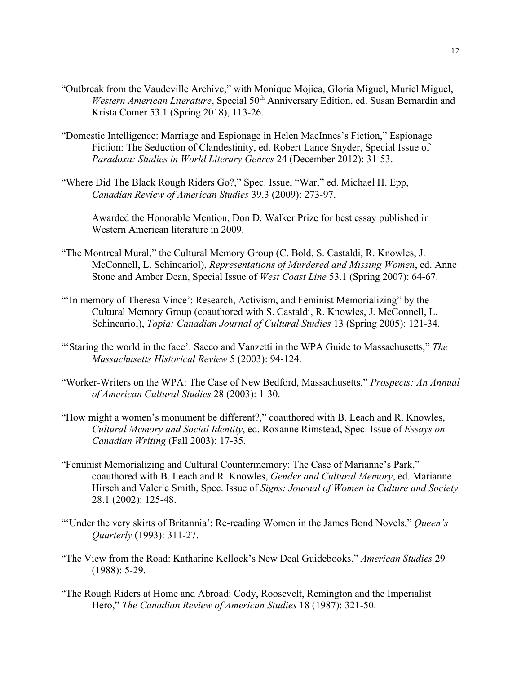- "Outbreak from the Vaudeville Archive," with Monique Mojica, Gloria Miguel, Muriel Miguel, *Western American Literature*, Special 50<sup>th</sup> Anniversary Edition, ed. Susan Bernardin and Krista Comer 53.1 (Spring 2018), 113-26.
- "Domestic Intelligence: Marriage and Espionage in Helen MacInnes's Fiction," Espionage Fiction: The Seduction of Clandestinity, ed. Robert Lance Snyder, Special Issue of *Paradoxa: Studies in World Literary Genres* 24 (December 2012): 31-53.
- "Where Did The Black Rough Riders Go?," Spec. Issue, "War," ed. Michael H. Epp, *Canadian Review of American Studies* 39.3 (2009): 273-97.

Awarded the Honorable Mention, Don D. Walker Prize for best essay published in Western American literature in 2009.

- "The Montreal Mural," the Cultural Memory Group (C. Bold, S. Castaldi, R. Knowles, J. McConnell, L. Schincariol), *Representations of Murdered and Missing Women*, ed. Anne Stone and Amber Dean, Special Issue of *West Coast Line* 53.1 (Spring 2007): 64-67.
- "'In memory of Theresa Vince': Research, Activism, and Feminist Memorializing" by the Cultural Memory Group (coauthored with S. Castaldi, R. Knowles, J. McConnell, L. Schincariol), *Topia: Canadian Journal of Cultural Studies* 13 (Spring 2005): 121-34.
- "'Staring the world in the face': Sacco and Vanzetti in the WPA Guide to Massachusetts," *The Massachusetts Historical Review* 5 (2003): 94-124.
- "Worker-Writers on the WPA: The Case of New Bedford, Massachusetts," *Prospects: An Annual of American Cultural Studies* 28 (2003): 1-30.
- "How might a women's monument be different?," coauthored with B. Leach and R. Knowles, *Cultural Memory and Social Identity*, ed. Roxanne Rimstead, Spec. Issue of *Essays on Canadian Writing* (Fall 2003): 17-35.
- "Feminist Memorializing and Cultural Countermemory: The Case of Marianne's Park," coauthored with B. Leach and R. Knowles, *Gender and Cultural Memory*, ed. Marianne Hirsch and Valerie Smith, Spec. Issue of *Signs: Journal of Women in Culture and Society*  28.1 (2002): 125-48.
- "'Under the very skirts of Britannia': Re-reading Women in the James Bond Novels," *Queen's Quarterly* (1993): 311-27.
- "The View from the Road: Katharine Kellock's New Deal Guidebooks," *American Studies* 29 (1988): 5-29.
- "The Rough Riders at Home and Abroad: Cody, Roosevelt, Remington and the Imperialist Hero," *The Canadian Review of American Studies* 18 (1987): 321-50.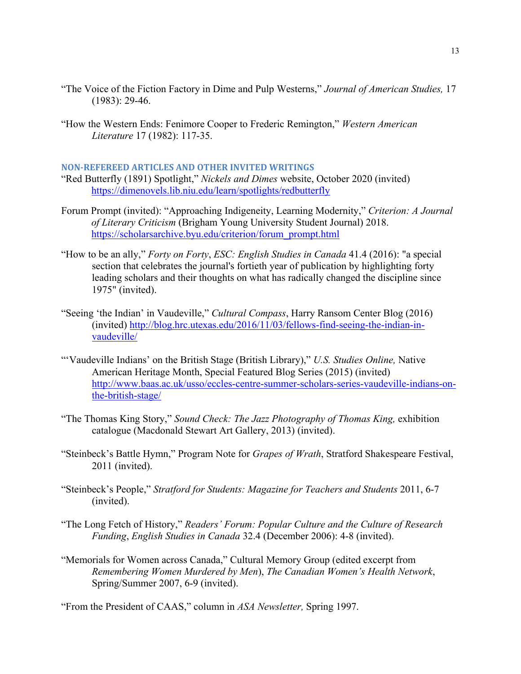- "The Voice of the Fiction Factory in Dime and Pulp Westerns," *Journal of American Studies,* 17 (1983): 29-46.
- "How the Western Ends: Fenimore Cooper to Frederic Remington," *Western American Literature* 17 (1982): 117-35.

## **NON-REFEREED ARTICLES AND OTHER INVITED WRITINGS**

"Red Butterfly (1891) Spotlight," *Nickels and Dimes* website, October 2020 (invited) <https://dimenovels.lib.niu.edu/learn/spotlights/redbutterfly>

- Forum Prompt (invited): "Approaching Indigeneity, Learning Modernity," *Criterion: A Journal of Literary Criticism* (Brigham Young University Student Journal) 2018. [https://scholarsarchive.byu.edu/criterion/forum\\_prompt.html](https://scholarsarchive.byu.edu/criterion/forum_prompt.html)
- "How to be an ally," *Forty on Forty*, *ESC: English Studies in Canada* 41.4 (2016): "a special section that celebrates the journal's fortieth year of publication by highlighting forty leading scholars and their thoughts on what has radically changed the discipline since 1975" (invited).
- "Seeing 'the Indian' in Vaudeville," *Cultural Compass*, Harry Ransom Center Blog (2016) (invited) [http://blog.hrc.utexas.edu/2016/11/03/fellows-find-seeing-the-indian-in](http://blog.hrc.utexas.edu/2016/11/03/fellows-find-seeing-the-indian-in-vaudeville/)[vaudeville/](http://blog.hrc.utexas.edu/2016/11/03/fellows-find-seeing-the-indian-in-vaudeville/)
- "'Vaudeville Indians' on the British Stage (British Library)," *U.S. Studies Online,* Native American Heritage Month, Special Featured Blog Series (2015) (invited) [http://www.baas.ac.uk/usso/eccles-centre-summer-scholars-series-vaudeville-indians-on](http://www.baas.ac.uk/usso/eccles-centre-summer-scholars-series-vaudeville-indians-on-the-british-stage/)[the-british-stage/](http://www.baas.ac.uk/usso/eccles-centre-summer-scholars-series-vaudeville-indians-on-the-british-stage/)
- "The Thomas King Story," *Sound Check: The Jazz Photography of Thomas King,* exhibition catalogue (Macdonald Stewart Art Gallery, 2013) (invited).
- "Steinbeck's Battle Hymn," Program Note for *Grapes of Wrath*, Stratford Shakespeare Festival, 2011 (invited).
- "Steinbeck's People," *Stratford for Students: Magazine for Teachers and Students* 2011, 6-7 (invited).
- "The Long Fetch of History," *Readers' Forum: Popular Culture and the Culture of Research Funding*, *English Studies in Canada* 32.4 (December 2006): 4-8 (invited).
- "Memorials for Women across Canada," Cultural Memory Group (edited excerpt from *Remembering Women Murdered by Men*), *The Canadian Women's Health Network*, Spring/Summer 2007, 6-9 (invited).

"From the President of CAAS," column in *ASA Newsletter,* Spring 1997.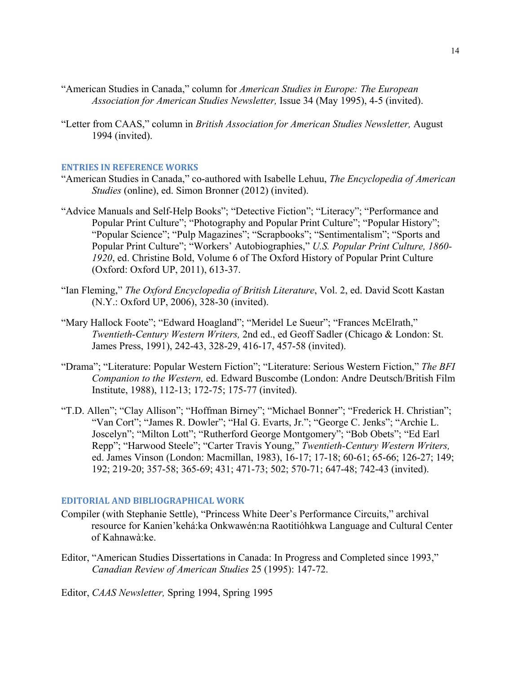- "American Studies in Canada," column for *American Studies in Europe: The European Association for American Studies Newsletter,* Issue 34 (May 1995), 4-5 (invited).
- "Letter from CAAS," column in *British Association for American Studies Newsletter,* August 1994 (invited).

## **ENTRIES IN REFERENCE WORKS**

- "American Studies in Canada," co-authored with Isabelle Lehuu, *The Encyclopedia of American Studies* (online), ed. Simon Bronner (2012) (invited).
- "Advice Manuals and Self-Help Books"; "Detective Fiction"; "Literacy"; "Performance and Popular Print Culture"; "Photography and Popular Print Culture"; "Popular History"; "Popular Science"; "Pulp Magazines"; "Scrapbooks"; "Sentimentalism"; "Sports and Popular Print Culture"; "Workers' Autobiographies," *U.S. Popular Print Culture, 1860- 1920*, ed. Christine Bold, Volume 6 of The Oxford History of Popular Print Culture (Oxford: Oxford UP, 2011), 613-37.
- "Ian Fleming," *The Oxford Encyclopedia of British Literature*, Vol. 2, ed. David Scott Kastan (N.Y.: Oxford UP, 2006), 328-30 (invited).
- "Mary Hallock Foote"; "Edward Hoagland"; "Meridel Le Sueur"; "Frances McElrath," *Twentieth-Century Western Writers,* 2nd ed., ed Geoff Sadler (Chicago & London: St. James Press, 1991), 242-43, 328-29, 416-17, 457-58 (invited).
- "Drama"; "Literature: Popular Western Fiction"; "Literature: Serious Western Fiction," *The BFI Companion to the Western,* ed. Edward Buscombe (London: Andre Deutsch/British Film Institute, 1988), 112-13; 172-75; 175-77 (invited).
- "T.D. Allen"; "Clay Allison"; "Hoffman Birney"; "Michael Bonner"; "Frederick H. Christian"; "Van Cort"; "James R. Dowler"; "Hal G. Evarts, Jr."; "George C. Jenks"; "Archie L. Joscelyn"; "Milton Lott"; "Rutherford George Montgomery"; "Bob Obets"; "Ed Earl Repp"; "Harwood Steele"; "Carter Travis Young," *Twentieth-Century Western Writers,*  ed. James Vinson (London: Macmillan, 1983), 16-17; 17-18; 60-61; 65-66; 126-27; 149; 192; 219-20; 357-58; 365-69; 431; 471-73; 502; 570-71; 647-48; 742-43 (invited).

## **EDITORIAL AND BIBLIOGRAPHICAL WORK**

- Compiler (with Stephanie Settle), "Princess White Deer's Performance Circuits," archival resource for Kanien'kehá:ka Onkwawén:na Raotitióhkwa Language and Cultural Center of Kahnawà:ke.
- Editor, "American Studies Dissertations in Canada: In Progress and Completed since 1993," *Canadian Review of American Studies* 25 (1995): 147-72.
- Editor, *CAAS Newsletter,* Spring 1994, Spring 1995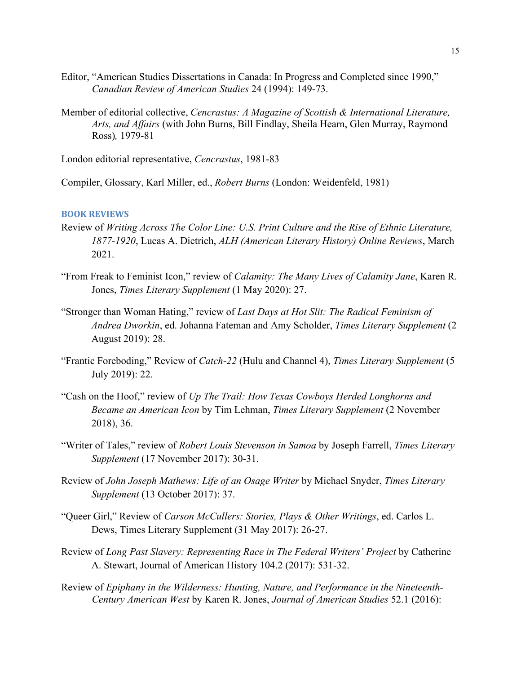- Editor, "American Studies Dissertations in Canada: In Progress and Completed since 1990," *Canadian Review of American Studies* 24 (1994): 149-73.
- Member of editorial collective, *Cencrastus: A Magazine of Scottish & International Literature, Arts, and Affairs* (with John Burns, Bill Findlay, Sheila Hearn, Glen Murray, Raymond Ross)*,* 1979-81

London editorial representative, *Cencrastus*, 1981-83

Compiler, Glossary, Karl Miller, ed., *Robert Burns* (London: Weidenfeld, 1981)

## **BOOK REVIEWS**

- Review of *Writing Across The Color Line: U.S. Print Culture and the Rise of Ethnic Literature, 1877-1920*, Lucas A. Dietrich, *ALH (American Literary History) Online Reviews*, March 2021.
- "From Freak to Feminist Icon," review of *Calamity: The Many Lives of Calamity Jane*, Karen R. Jones, *Times Literary Supplement* (1 May 2020): 27.
- "Stronger than Woman Hating," review of *Last Days at Hot Slit: The Radical Feminism of Andrea Dworkin*, ed. Johanna Fateman and Amy Scholder, *Times Literary Supplement* (2 August 2019): 28.
- "Frantic Foreboding," Review of *Catch-22* (Hulu and Channel 4), *Times Literary Supplement* (5 July 2019): 22.
- "Cash on the Hoof," review of *Up The Trail: How Texas Cowboys Herded Longhorns and Became an American Icon* by Tim Lehman, *Times Literary Supplement* (2 November 2018), 36.
- "Writer of Tales," review of *Robert Louis Stevenson in Samoa* by Joseph Farrell, *Times Literary Supplement* (17 November 2017): 30-31.
- Review of *John Joseph Mathews: Life of an Osage Writer* by Michael Snyder, *Times Literary Supplement* (13 October 2017): 37.
- "Queer Girl," Review of *Carson McCullers: Stories, Plays & Other Writings*, ed. Carlos L. Dews, Times Literary Supplement (31 May 2017): 26-27.
- Review of *Long Past Slavery: Representing Race in The Federal Writers' Project* by Catherine A. Stewart, Journal of American History 104.2 (2017): 531-32.
- Review of *Epiphany in the Wilderness: Hunting, Nature, and Performance in the Nineteenth-Century American West* by Karen R. Jones, *Journal of American Studies* 52.1 (2016):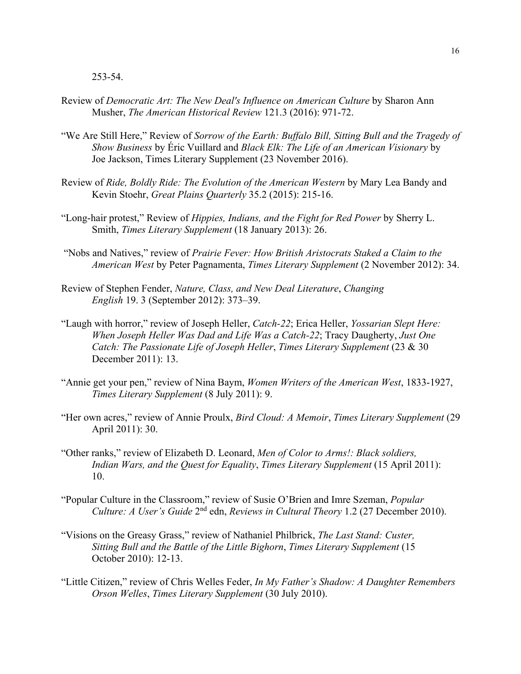253-54.

- Review of *Democratic Art: The New Deal's Influence on American Culture* by Sharon Ann Musher, *The American Historical Review* 121.3 (2016): 971-72.
- "We Are Still Here," Review of *Sorrow of the Earth: Buffalo Bill, Sitting Bull and the Tragedy of Show Business* by Éric Vuillard and *Black Elk: The Life of an American Visionary* by Joe Jackson, Times Literary Supplement (23 November 2016).
- Review of *Ride, Boldly Ride: The Evolution of the American Western* by Mary Lea Bandy and Kevin Stoehr, *Great Plains Quarterly* 35.2 (2015): 215-16.
- "Long-hair protest," Review of *Hippies, Indians, and the Fight for Red Power* by Sherry L. Smith, *Times Literary Supplement* (18 January 2013): 26.
- "Nobs and Natives," review of *Prairie Fever: How British Aristocrats Staked a Claim to the American West* by Peter Pagnamenta, *Times Literary Supplement* (2 November 2012): 34.
- Review of Stephen Fender, *Nature, Class, and New Deal Literature*, *Changing English* 19. 3 (September 2012): 373–39.
- "Laugh with horror," review of Joseph Heller, *Catch-22*; Erica Heller, *Yossarian Slept Here: When Joseph Heller Was Dad and Life Was a Catch-22*; Tracy Daugherty, *Just One Catch: The Passionate Life of Joseph Heller*, *Times Literary Supplement* (23 & 30 December 2011): 13.
- "Annie get your pen," review of Nina Baym, *Women Writers of the American West*, 1833-1927, *Times Literary Supplement* (8 July 2011): 9.
- "Her own acres," review of Annie Proulx, *Bird Cloud: A Memoir*, *Times Literary Supplement* (29 April 2011): 30.
- "Other ranks," review of Elizabeth D. Leonard, *Men of Color to Arms!: Black soldiers, Indian Wars, and the Quest for Equality*, *Times Literary Supplement* (15 April 2011): 10.
- "Popular Culture in the Classroom," review of Susie O'Brien and Imre Szeman, *Popular Culture: A User's Guide* 2nd edn, *Reviews in Cultural Theory* 1.2 (27 December 2010).
- "Visions on the Greasy Grass," review of Nathaniel Philbrick, *The Last Stand: Custer, Sitting Bull and the Battle of the Little Bighorn*, *Times Literary Supplement* (15 October 2010): 12-13.
- "Little Citizen," review of Chris Welles Feder, *In My Father's Shadow: A Daughter Remembers Orson Welles*, *Times Literary Supplement* (30 July 2010).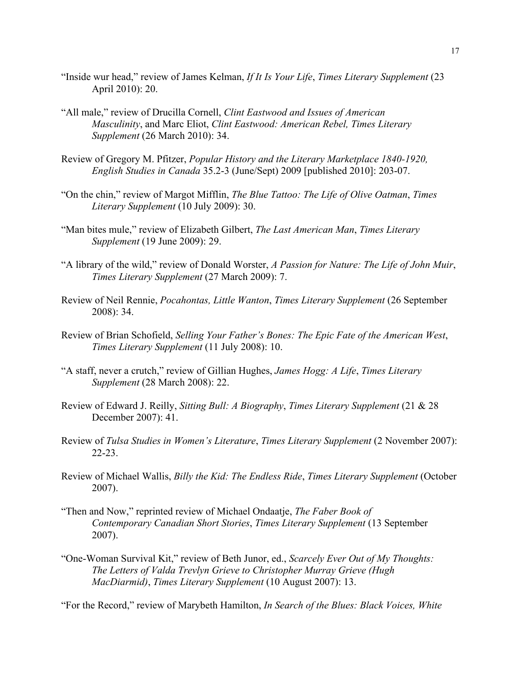- "Inside wur head," review of James Kelman, *If It Is Your Life*, *Times Literary Supplement* (23 April 2010): 20.
- "All male," review of Drucilla Cornell, *Clint Eastwood and Issues of American Masculinity*, and Marc Eliot, *Clint Eastwood: American Rebel, Times Literary Supplement* (26 March 2010): 34.
- Review of Gregory M. Pfitzer, *Popular History and the Literary Marketplace 1840-1920, English Studies in Canada* 35.2-3 (June/Sept) 2009 [published 2010]: 203-07.
- "On the chin," review of Margot Mifflin, *The Blue Tattoo: The Life of Olive Oatman*, *Times Literary Supplement* (10 July 2009): 30.
- "Man bites mule," review of Elizabeth Gilbert, *The Last American Man*, *Times Literary Supplement* (19 June 2009): 29.
- "A library of the wild," review of Donald Worster, *A Passion for Nature: The Life of John Muir*, *Times Literary Supplement* (27 March 2009): 7.
- Review of Neil Rennie, *Pocahontas, Little Wanton*, *Times Literary Supplement* (26 September 2008): 34.
- Review of Brian Schofield, *Selling Your Father's Bones: The Epic Fate of the American West*, *Times Literary Supplement* (11 July 2008): 10.
- "A staff, never a crutch," review of Gillian Hughes, *James Hogg: A Life*, *Times Literary Supplement* (28 March 2008): 22.
- Review of Edward J. Reilly, *Sitting Bull: A Biography*, *Times Literary Supplement* (21 & 28 December 2007): 41.
- Review of *Tulsa Studies in Women's Literature*, *Times Literary Supplement* (2 November 2007): 22-23.
- Review of Michael Wallis, *Billy the Kid: The Endless Ride*, *Times Literary Supplement* (October 2007).
- "Then and Now," reprinted review of Michael Ondaatje, *The Faber Book of Contemporary Canadian Short Stories*, *Times Literary Supplement* (13 September 2007).
- "One-Woman Survival Kit," review of Beth Junor, ed., *Scarcely Ever Out of My Thoughts: The Letters of Valda Trevlyn Grieve to Christopher Murray Grieve (Hugh MacDiarmid)*, *Times Literary Supplement* (10 August 2007): 13.

"For the Record," review of Marybeth Hamilton, *In Search of the Blues: Black Voices, White*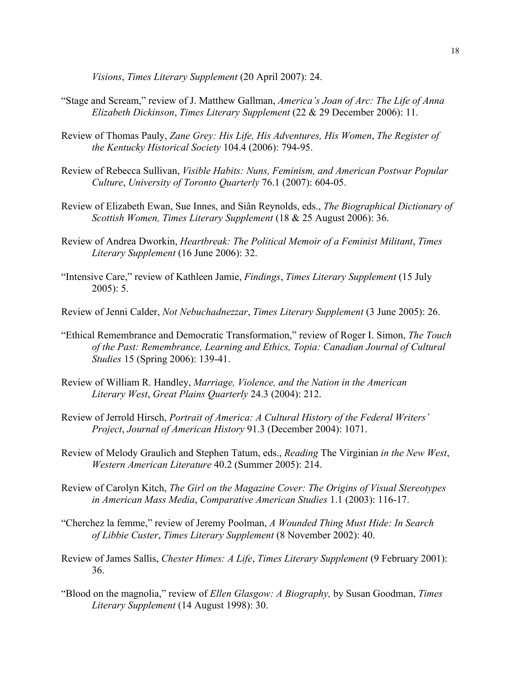*Visions*, *Times Literary Supplement* (20 April 2007): 24.

- "Stage and Scream," review of J. Matthew Gallman, *America's Joan of Arc: The Life of Anna Elizabeth Dickinson*, *Times Literary Supplement* (22 & 29 December 2006): 11.
- Review of Thomas Pauly, *Zane Grey: His Life, His Adventures, His Women*, *The Register of the Kentucky Historical Society* 104.4 (2006): 794-95.
- Review of Rebecca Sullivan, *Visible Habits: Nuns, Feminism, and American Postwar Popular Culture*, *University of Toronto Quarterly* 76.1 (2007): 604-05.
- Review of Elizabeth Ewan, Sue Innes, and Siân Reynolds, eds., *The Biographical Dictionary of Scottish Women, Times Literary Supplement* (18 & 25 August 2006): 36.
- Review of Andrea Dworkin, *Heartbreak: The Political Memoir of a Feminist Militant*, *Times Literary Supplement* (16 June 2006): 32.
- "Intensive Care," review of Kathleen Jamie, *Findings*, *Times Literary Supplement* (15 July 2005): 5.
- Review of Jenni Calder, *Not Nebuchadnezzar*, *Times Literary Supplement* (3 June 2005): 26.
- "Ethical Remembrance and Democratic Transformation," review of Roger I. Simon, *The Touch of the Past: Remembrance, Learning and Ethics, Topia: Canadian Journal of Cultural Studies* 15 (Spring 2006): 139-41.
- Review of William R. Handley, *Marriage, Violence, and the Nation in the American Literary West*, *Great Plains Quarterly* 24.3 (2004): 212.
- Review of Jerrold Hirsch, *Portrait of America: A Cultural History of the Federal Writers' Project*, *Journal of American History* 91.3 (December 2004): 1071.
- Review of Melody Graulich and Stephen Tatum, eds., *Reading* The Virginian *in the New West*, *Western American Literature* 40.2 (Summer 2005): 214.
- Review of Carolyn Kitch, *The Girl on the Magazine Cover: The Origins of Visual Stereotypes in American Mass Media*, *Comparative American Studies* 1.1 (2003): 116-17.
- "Cherchez la femme," review of Jeremy Poolman, *A Wounded Thing Must Hide: In Search of Libbie Custer*, *Times Literary Supplement* (8 November 2002): 40.
- Review of James Sallis, *Chester Himes: A Life*, *Times Literary Supplement* (9 February 2001): 36.
- "Blood on the magnolia," review of *Ellen Glasgow: A Biography,* by Susan Goodman, *Times Literary Supplement* (14 August 1998): 30.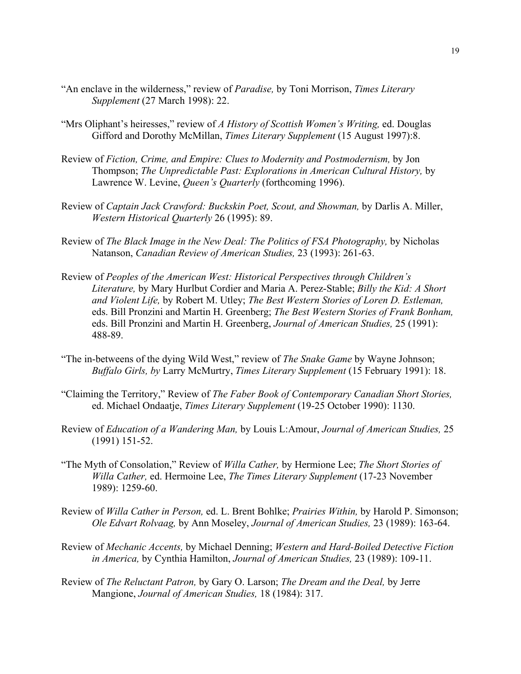- "An enclave in the wilderness," review of *Paradise,* by Toni Morrison, *Times Literary Supplement* (27 March 1998): 22.
- "Mrs Oliphant's heiresses," review of *A History of Scottish Women's Writing,* ed. Douglas Gifford and Dorothy McMillan, *Times Literary Supplement* (15 August 1997):8.
- Review of *Fiction, Crime, and Empire: Clues to Modernity and Postmodernism,* by Jon Thompson; *The Unpredictable Past: Explorations in American Cultural History,* by Lawrence W. Levine, *Queen's Quarterly* (forthcoming 1996).
- Review of *Captain Jack Crawford: Buckskin Poet, Scout, and Showman,* by Darlis A. Miller, *Western Historical Quarterly* 26 (1995): 89.
- Review of *The Black Image in the New Deal: The Politics of FSA Photography,* by Nicholas Natanson, *Canadian Review of American Studies,* 23 (1993): 261-63.
- Review of *Peoples of the American West: Historical Perspectives through Children's Literature,* by Mary Hurlbut Cordier and Maria A. Perez-Stable; *Billy the Kid: A Short and Violent Life,* by Robert M. Utley; *The Best Western Stories of Loren D. Estleman,*  eds. Bill Pronzini and Martin H. Greenberg; *The Best Western Stories of Frank Bonham,*  eds. Bill Pronzini and Martin H. Greenberg, *Journal of American Studies,* 25 (1991): 488-89.
- "The in-betweens of the dying Wild West," review of *The Snake Game* by Wayne Johnson; *Buffalo Girls, by* Larry McMurtry, *Times Literary Supplement* (15 February 1991): 18.
- "Claiming the Territory," Review of *The Faber Book of Contemporary Canadian Short Stories,* ed. Michael Ondaatje, *Times Literary Supplement* (19-25 October 1990): 1130.
- Review of *Education of a Wandering Man,* by Louis L:Amour, *Journal of American Studies,* 25 (1991) 151-52.
- "The Myth of Consolation," Review of *Willa Cather,* by Hermione Lee; *The Short Stories of Willa Cather,* ed. Hermoine Lee, *The Times Literary Supplement* (17-23 November 1989): 1259-60.
- Review of *Willa Cather in Person,* ed. L. Brent Bohlke; *Prairies Within,* by Harold P. Simonson; *Ole Edvart Rolvaag,* by Ann Moseley, *Journal of American Studies,* 23 (1989): 163-64.
- Review of *Mechanic Accents,* by Michael Denning; *Western and Hard-Boiled Detective Fiction in America,* by Cynthia Hamilton, *Journal of American Studies,* 23 (1989): 109-11.
- Review of *The Reluctant Patron,* by Gary O. Larson; *The Dream and the Deal,* by Jerre Mangione, *Journal of American Studies,* 18 (1984): 317.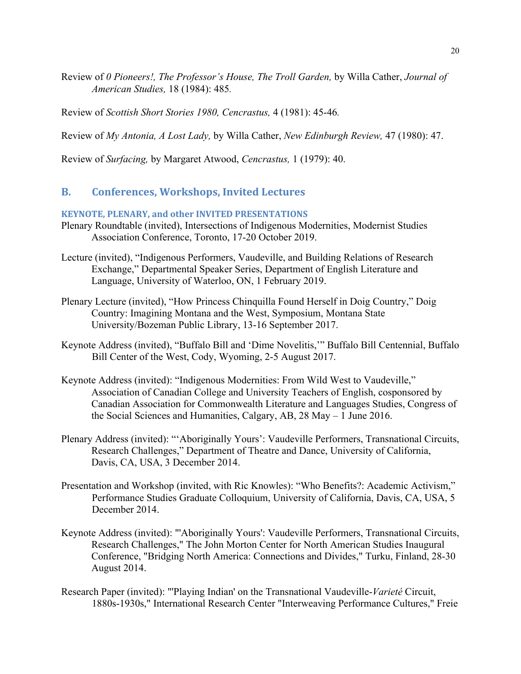Review of *0 Pioneers!, The Professor's House, The Troll Garden,* by Willa Cather, *Journal of American Studies,* 18 (1984): 485*.*

Review of *Scottish Short Stories 1980, Cencrastus,* 4 (1981): 45-46*.*

Review of *My Antonia, A Lost Lady,* by Willa Cather, *New Edinburgh Review,* 47 (1980): 47.

Review of *Surfacing,* by Margaret Atwood, *Cencrastus,* 1 (1979): 40.

# **B. Conferences, Workshops, Invited Lectures**

## **KEYNOTE, PLENARY, and other INVITED PRESENTATIONS**

- Plenary Roundtable (invited), Intersections of Indigenous Modernities, Modernist Studies Association Conference, Toronto, 17-20 October 2019.
- Lecture (invited), "Indigenous Performers, Vaudeville, and Building Relations of Research Exchange," Departmental Speaker Series, Department of English Literature and Language, University of Waterloo, ON, 1 February 2019.
- Plenary Lecture (invited), "How Princess Chinquilla Found Herself in Doig Country," Doig Country: Imagining Montana and the West, Symposium, Montana State University/Bozeman Public Library, 13-16 September 2017.
- Keynote Address (invited), "Buffalo Bill and 'Dime Novelitis,'" Buffalo Bill Centennial, Buffalo Bill Center of the West, Cody, Wyoming, 2-5 August 2017.
- Keynote Address (invited): "Indigenous Modernities: From Wild West to Vaudeville," Association of Canadian College and University Teachers of English, cosponsored by Canadian Association for Commonwealth Literature and Languages Studies, Congress of the Social Sciences and Humanities, Calgary, AB, 28 May – 1 June 2016.
- Plenary Address (invited): "'Aboriginally Yours': Vaudeville Performers, Transnational Circuits, Research Challenges," Department of Theatre and Dance, University of California, Davis, CA, USA, 3 December 2014.
- Presentation and Workshop (invited, with Ric Knowles): "Who Benefits?: Academic Activism," Performance Studies Graduate Colloquium, University of California, Davis, CA, USA, 5 December 2014.
- Keynote Address (invited): "'Aboriginally Yours': Vaudeville Performers, Transnational Circuits, Research Challenges," The John Morton Center for North American Studies Inaugural Conference, "Bridging North America: Connections and Divides," Turku, Finland, 28-30 August 2014.
- Research Paper (invited): "'Playing Indian' on the Transnational Vaudeville-*Varieté* Circuit, 1880s-1930s," International Research Center "Interweaving Performance Cultures," Freie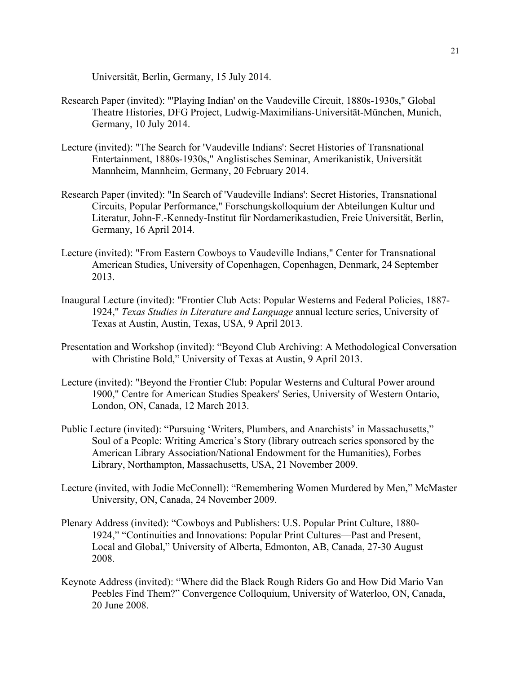Universität, Berlin, Germany, 15 July 2014.

- Research Paper (invited): "'Playing Indian' on the Vaudeville Circuit, 1880s-1930s," Global Theatre Histories, DFG Project, Ludwig-Maximilians-Universität-München, Munich, Germany, 10 July 2014.
- Lecture (invited): "The Search for 'Vaudeville Indians': Secret Histories of Transnational Entertainment, 1880s-1930s," Anglistisches Seminar, Amerikanistik, Universität Mannheim, Mannheim, Germany, 20 February 2014.
- Research Paper (invited): "In Search of 'Vaudeville Indians': Secret Histories, Transnational Circuits, Popular Performance," Forschungskolloquium der Abteilungen Kultur und Literatur, John-F.-Kennedy-Institut für Nordamerikastudien, Freie Universität, Berlin, Germany, 16 April 2014.
- Lecture (invited): "From Eastern Cowboys to Vaudeville Indians," Center for Transnational American Studies, University of Copenhagen, Copenhagen, Denmark, 24 September 2013.
- Inaugural Lecture (invited): "Frontier Club Acts: Popular Westerns and Federal Policies, 1887- 1924," *Texas Studies in Literature and Language* annual lecture series, University of Texas at Austin, Austin, Texas, USA, 9 April 2013.
- Presentation and Workshop (invited): "Beyond Club Archiving: A Methodological Conversation with Christine Bold," University of Texas at Austin, 9 April 2013.
- Lecture (invited): "Beyond the Frontier Club: Popular Westerns and Cultural Power around 1900," Centre for American Studies Speakers' Series, University of Western Ontario, London, ON, Canada, 12 March 2013.
- Public Lecture (invited): "Pursuing 'Writers, Plumbers, and Anarchists' in Massachusetts," Soul of a People: Writing America's Story (library outreach series sponsored by the American Library Association/National Endowment for the Humanities), Forbes Library, Northampton, Massachusetts, USA, 21 November 2009.
- Lecture (invited, with Jodie McConnell): "Remembering Women Murdered by Men," McMaster University, ON, Canada, 24 November 2009.
- Plenary Address (invited): "Cowboys and Publishers: U.S. Popular Print Culture, 1880- 1924," "Continuities and Innovations: Popular Print Cultures—Past and Present, Local and Global," University of Alberta, Edmonton, AB, Canada, 27-30 August 2008.
- Keynote Address (invited): "Where did the Black Rough Riders Go and How Did Mario Van Peebles Find Them?" Convergence Colloquium, University of Waterloo, ON, Canada, 20 June 2008.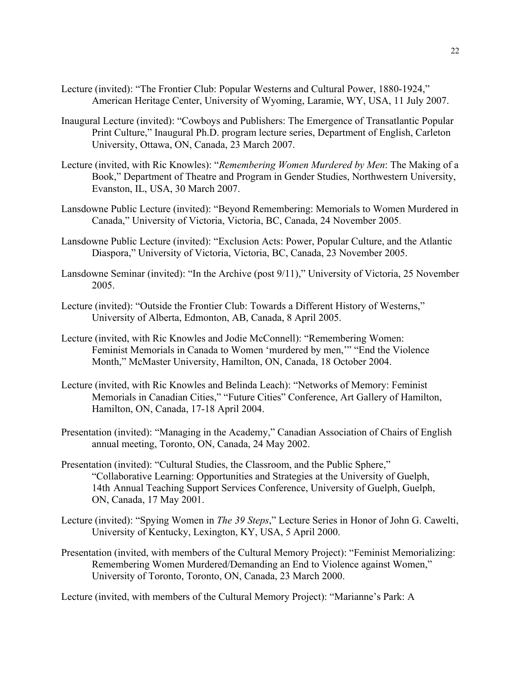- Lecture (invited): "The Frontier Club: Popular Westerns and Cultural Power, 1880-1924," American Heritage Center, University of Wyoming, Laramie, WY, USA, 11 July 2007.
- Inaugural Lecture (invited): "Cowboys and Publishers: The Emergence of Transatlantic Popular Print Culture," Inaugural Ph.D. program lecture series, Department of English, Carleton University, Ottawa, ON, Canada, 23 March 2007.
- Lecture (invited, with Ric Knowles): "*Remembering Women Murdered by Men*: The Making of a Book," Department of Theatre and Program in Gender Studies, Northwestern University, Evanston, IL, USA, 30 March 2007.
- Lansdowne Public Lecture (invited): "Beyond Remembering: Memorials to Women Murdered in Canada," University of Victoria, Victoria, BC, Canada, 24 November 2005.
- Lansdowne Public Lecture (invited): "Exclusion Acts: Power, Popular Culture, and the Atlantic Diaspora," University of Victoria, Victoria, BC, Canada, 23 November 2005.
- Lansdowne Seminar (invited): "In the Archive (post 9/11)," University of Victoria, 25 November 2005.
- Lecture (invited): "Outside the Frontier Club: Towards a Different History of Westerns," University of Alberta, Edmonton, AB, Canada, 8 April 2005.
- Lecture (invited, with Ric Knowles and Jodie McConnell): "Remembering Women: Feminist Memorials in Canada to Women 'murdered by men,'" "End the Violence Month," McMaster University, Hamilton, ON, Canada, 18 October 2004.
- Lecture (invited, with Ric Knowles and Belinda Leach): "Networks of Memory: Feminist Memorials in Canadian Cities," "Future Cities" Conference, Art Gallery of Hamilton, Hamilton, ON, Canada, 17-18 April 2004.
- Presentation (invited): "Managing in the Academy," Canadian Association of Chairs of English annual meeting, Toronto, ON, Canada, 24 May 2002.
- Presentation (invited): "Cultural Studies, the Classroom, and the Public Sphere," "Collaborative Learning: Opportunities and Strategies at the University of Guelph, 14th Annual Teaching Support Services Conference, University of Guelph, Guelph, ON, Canada, 17 May 2001.
- Lecture (invited): "Spying Women in *The 39 Steps*," Lecture Series in Honor of John G. Cawelti, University of Kentucky, Lexington, KY, USA, 5 April 2000.
- Presentation (invited, with members of the Cultural Memory Project): "Feminist Memorializing: Remembering Women Murdered/Demanding an End to Violence against Women," University of Toronto, Toronto, ON, Canada, 23 March 2000.

Lecture (invited, with members of the Cultural Memory Project): "Marianne's Park: A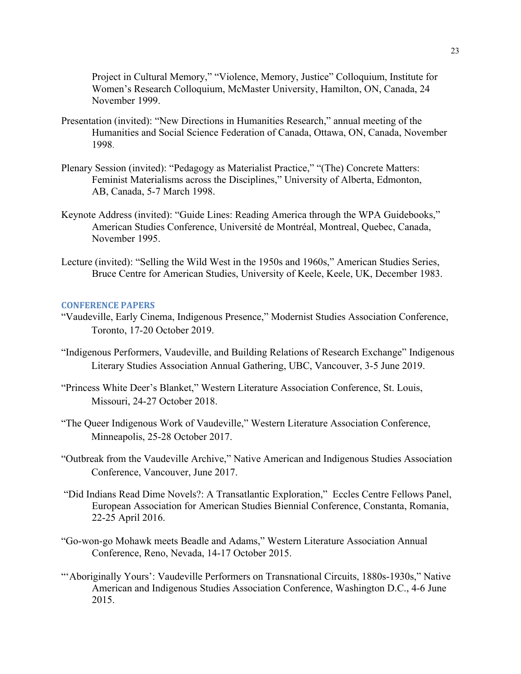Project in Cultural Memory," "Violence, Memory, Justice" Colloquium, Institute for Women's Research Colloquium, McMaster University, Hamilton, ON, Canada, 24 November 1999.

- Presentation (invited): "New Directions in Humanities Research," annual meeting of the Humanities and Social Science Federation of Canada, Ottawa, ON, Canada, November 1998.
- Plenary Session (invited): "Pedagogy as Materialist Practice," "(The) Concrete Matters: Feminist Materialisms across the Disciplines," University of Alberta, Edmonton, AB, Canada, 5-7 March 1998.
- Keynote Address (invited): "Guide Lines: Reading America through the WPA Guidebooks," American Studies Conference, Université de Montréal, Montreal, Quebec, Canada, November 1995.
- Lecture (invited): "Selling the Wild West in the 1950s and 1960s," American Studies Series, Bruce Centre for American Studies, University of Keele, Keele, UK, December 1983.

## **CONFERENCE PAPERS**

- "Vaudeville, Early Cinema, Indigenous Presence," Modernist Studies Association Conference, Toronto, 17-20 October 2019.
- "Indigenous Performers, Vaudeville, and Building Relations of Research Exchange" Indigenous Literary Studies Association Annual Gathering, UBC, Vancouver, 3-5 June 2019.
- "Princess White Deer's Blanket," Western Literature Association Conference, St. Louis, Missouri, 24-27 October 2018.
- "The Queer Indigenous Work of Vaudeville," Western Literature Association Conference, Minneapolis, 25-28 October 2017.
- "Outbreak from the Vaudeville Archive," Native American and Indigenous Studies Association Conference, Vancouver, June 2017.
- "Did Indians Read Dime Novels?: A Transatlantic Exploration," Eccles Centre Fellows Panel, European Association for American Studies Biennial Conference, Constanta, Romania, 22-25 April 2016.
- "Go-won-go Mohawk meets Beadle and Adams," Western Literature Association Annual Conference, Reno, Nevada, 14-17 October 2015.
- "'Aboriginally Yours': Vaudeville Performers on Transnational Circuits, 1880s-1930s," Native American and Indigenous Studies Association Conference, Washington D.C., 4-6 June 2015.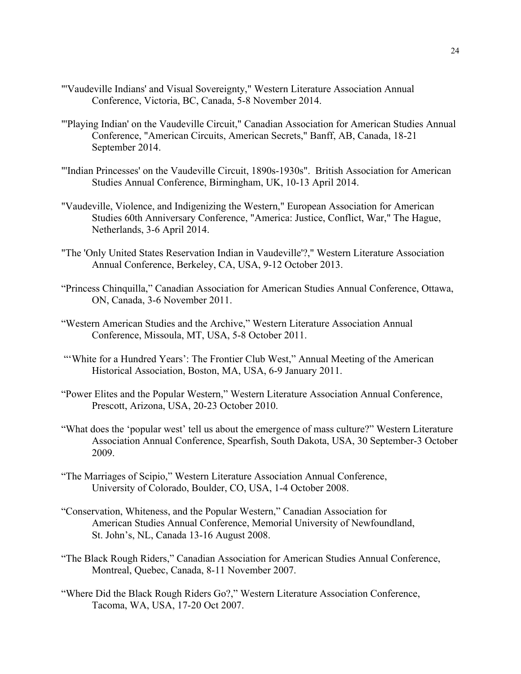- "'Vaudeville Indians' and Visual Sovereignty," Western Literature Association Annual Conference, Victoria, BC, Canada, 5-8 November 2014.
- "'Playing Indian' on the Vaudeville Circuit," Canadian Association for American Studies Annual Conference, "American Circuits, American Secrets," Banff, AB, Canada, 18-21 September 2014.
- "'Indian Princesses' on the Vaudeville Circuit, 1890s-1930s". British Association for American Studies Annual Conference, Birmingham, UK, 10-13 April 2014.
- "Vaudeville, Violence, and Indigenizing the Western," European Association for American Studies 60th Anniversary Conference, "America: Justice, Conflict, War," The Hague, Netherlands, 3-6 April 2014.
- "The 'Only United States Reservation Indian in Vaudeville'?," Western Literature Association Annual Conference, Berkeley, CA, USA, 9-12 October 2013.
- "Princess Chinquilla," Canadian Association for American Studies Annual Conference, Ottawa, ON, Canada, 3-6 November 2011.
- "Western American Studies and the Archive," Western Literature Association Annual Conference, Missoula, MT, USA, 5-8 October 2011.
- "'White for a Hundred Years': The Frontier Club West," Annual Meeting of the American Historical Association, Boston, MA, USA, 6-9 January 2011.
- "Power Elites and the Popular Western," Western Literature Association Annual Conference, Prescott, Arizona, USA, 20-23 October 2010.
- "What does the 'popular west' tell us about the emergence of mass culture?" Western Literature Association Annual Conference, Spearfish, South Dakota, USA, 30 September-3 October 2009.
- "The Marriages of Scipio," Western Literature Association Annual Conference, University of Colorado, Boulder, CO, USA, 1-4 October 2008.
- "Conservation, Whiteness, and the Popular Western," Canadian Association for American Studies Annual Conference, Memorial University of Newfoundland, St. John's, NL, Canada 13-16 August 2008.
- "The Black Rough Riders," Canadian Association for American Studies Annual Conference, Montreal, Quebec, Canada, 8-11 November 2007.
- "Where Did the Black Rough Riders Go?," Western Literature Association Conference, Tacoma, WA, USA, 17-20 Oct 2007.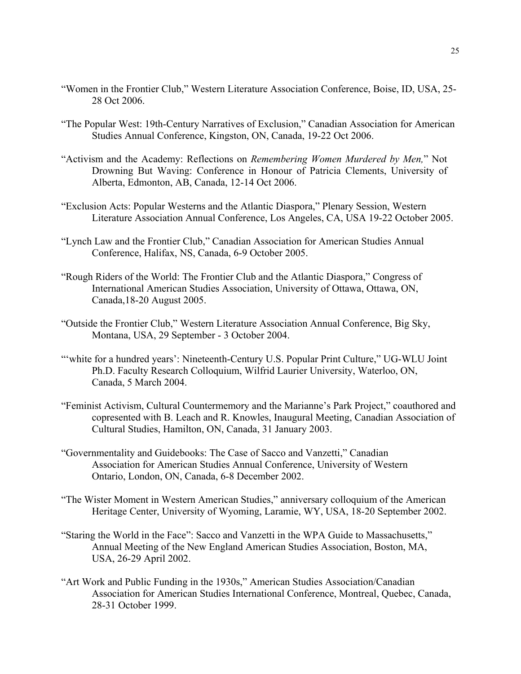- "Women in the Frontier Club," Western Literature Association Conference, Boise, ID, USA, 25- 28 Oct 2006.
- "The Popular West: 19th-Century Narratives of Exclusion," Canadian Association for American Studies Annual Conference, Kingston, ON, Canada, 19-22 Oct 2006.
- "Activism and the Academy: Reflections on *Remembering Women Murdered by Men,*" Not Drowning But Waving: Conference in Honour of Patricia Clements, University of Alberta, Edmonton, AB, Canada, 12-14 Oct 2006.
- "Exclusion Acts: Popular Westerns and the Atlantic Diaspora," Plenary Session, Western Literature Association Annual Conference, Los Angeles, CA, USA 19-22 October 2005.
- "Lynch Law and the Frontier Club," Canadian Association for American Studies Annual Conference, Halifax, NS, Canada, 6-9 October 2005.
- "Rough Riders of the World: The Frontier Club and the Atlantic Diaspora," Congress of International American Studies Association, University of Ottawa, Ottawa, ON, Canada,18-20 August 2005.
- "Outside the Frontier Club," Western Literature Association Annual Conference, Big Sky, Montana, USA, 29 September - 3 October 2004.
- "'white for a hundred years': Nineteenth-Century U.S. Popular Print Culture," UG-WLU Joint Ph.D. Faculty Research Colloquium, Wilfrid Laurier University, Waterloo, ON, Canada, 5 March 2004.
- "Feminist Activism, Cultural Countermemory and the Marianne's Park Project," coauthored and copresented with B. Leach and R. Knowles, Inaugural Meeting, Canadian Association of Cultural Studies, Hamilton, ON, Canada, 31 January 2003.
- "Governmentality and Guidebooks: The Case of Sacco and Vanzetti," Canadian Association for American Studies Annual Conference, University of Western Ontario, London, ON, Canada, 6-8 December 2002.
- "The Wister Moment in Western American Studies," anniversary colloquium of the American Heritage Center, University of Wyoming, Laramie, WY, USA, 18-20 September 2002.
- "Staring the World in the Face": Sacco and Vanzetti in the WPA Guide to Massachusetts," Annual Meeting of the New England American Studies Association, Boston, MA, USA, 26-29 April 2002.
- "Art Work and Public Funding in the 1930s," American Studies Association/Canadian Association for American Studies International Conference, Montreal, Quebec, Canada, 28-31 October 1999.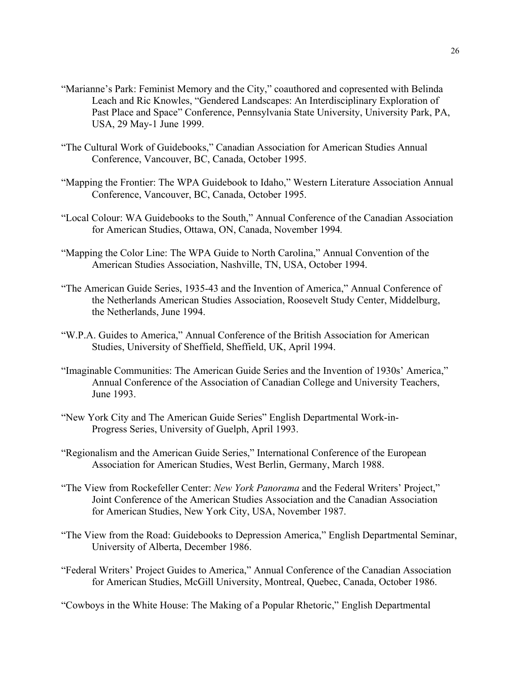- "Marianne's Park: Feminist Memory and the City," coauthored and copresented with Belinda Leach and Ric Knowles, "Gendered Landscapes: An Interdisciplinary Exploration of Past Place and Space" Conference, Pennsylvania State University, University Park, PA, USA, 29 May-1 June 1999.
- "The Cultural Work of Guidebooks," Canadian Association for American Studies Annual Conference, Vancouver, BC, Canada, October 1995.
- "Mapping the Frontier: The WPA Guidebook to Idaho," Western Literature Association Annual Conference, Vancouver, BC, Canada, October 1995.
- "Local Colour: WA Guidebooks to the South," Annual Conference of the Canadian Association for American Studies, Ottawa, ON, Canada, November 1994*.*
- "Mapping the Color Line: The WPA Guide to North Carolina," Annual Convention of the American Studies Association, Nashville, TN, USA, October 1994.
- "The American Guide Series, 1935-43 and the Invention of America," Annual Conference of the Netherlands American Studies Association, Roosevelt Study Center, Middelburg, the Netherlands, June 1994.
- "W.P.A. Guides to America," Annual Conference of the British Association for American Studies, University of Sheffield, Sheffield, UK, April 1994.
- "Imaginable Communities: The American Guide Series and the Invention of 1930s' America," Annual Conference of the Association of Canadian College and University Teachers, June 1993.
- "New York City and The American Guide Series" English Departmental Work-in-Progress Series, University of Guelph, April 1993.
- "Regionalism and the American Guide Series," International Conference of the European Association for American Studies, West Berlin, Germany, March 1988.
- "The View from Rockefeller Center: *New York Panorama* and the Federal Writers' Project," Joint Conference of the American Studies Association and the Canadian Association for American Studies, New York City, USA, November 1987.
- "The View from the Road: Guidebooks to Depression America," English Departmental Seminar, University of Alberta, December 1986.
- "Federal Writers' Project Guides to America," Annual Conference of the Canadian Association for American Studies, McGill University, Montreal, Quebec, Canada, October 1986.
- "Cowboys in the White House: The Making of a Popular Rhetoric," English Departmental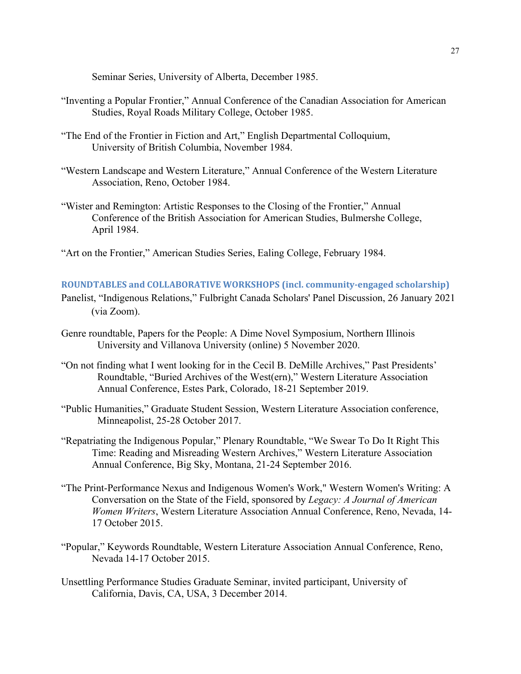Seminar Series, University of Alberta, December 1985.

- "Inventing a Popular Frontier," Annual Conference of the Canadian Association for American Studies, Royal Roads Military College, October 1985.
- "The End of the Frontier in Fiction and Art," English Departmental Colloquium, University of British Columbia, November 1984.
- "Western Landscape and Western Literature," Annual Conference of the Western Literature Association, Reno, October 1984.
- "Wister and Remington: Artistic Responses to the Closing of the Frontier," Annual Conference of the British Association for American Studies, Bulmershe College, April 1984.
- "Art on the Frontier," American Studies Series, Ealing College, February 1984.

## **ROUNDTABLES and COLLABORATIVE WORKSHOPS (incl. community-engaged scholarship)**

- Panelist, "Indigenous Relations," Fulbright Canada Scholars' Panel Discussion, 26 January 2021 (via Zoom).
- Genre roundtable, Papers for the People: A Dime Novel Symposium, Northern Illinois University and Villanova University (online) 5 November 2020.
- "On not finding what I went looking for in the Cecil B. DeMille Archives," Past Presidents' Roundtable, "Buried Archives of the West(ern)," Western Literature Association Annual Conference, Estes Park, Colorado, 18-21 September 2019.
- "Public Humanities," Graduate Student Session, Western Literature Association conference, Minneapolist, 25-28 October 2017.
- "Repatriating the Indigenous Popular," Plenary Roundtable, "We Swear To Do It Right This Time: Reading and Misreading Western Archives," Western Literature Association Annual Conference, Big Sky, Montana, 21-24 September 2016.
- "The Print-Performance Nexus and Indigenous Women's Work," Western Women's Writing: A Conversation on the State of the Field, sponsored by *Legacy: A Journal of American Women Writers*, Western Literature Association Annual Conference, Reno, Nevada, 14- 17 October 2015.
- "Popular," Keywords Roundtable, Western Literature Association Annual Conference, Reno, Nevada 14-17 October 2015.
- Unsettling Performance Studies Graduate Seminar, invited participant, University of California, Davis, CA, USA, 3 December 2014.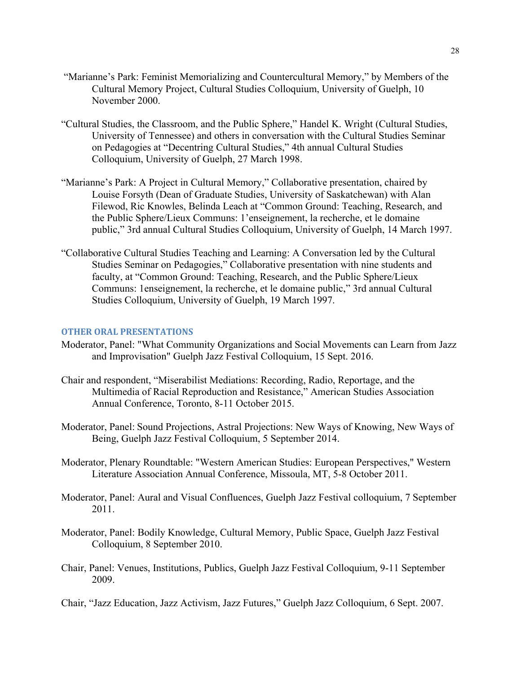- "Marianne's Park: Feminist Memorializing and Countercultural Memory," by Members of the Cultural Memory Project, Cultural Studies Colloquium, University of Guelph, 10 November 2000.
- "Cultural Studies, the Classroom, and the Public Sphere," Handel K. Wright (Cultural Studies, University of Tennessee) and others in conversation with the Cultural Studies Seminar on Pedagogies at "Decentring Cultural Studies," 4th annual Cultural Studies Colloquium, University of Guelph, 27 March 1998.
- "Marianne's Park: A Project in Cultural Memory," Collaborative presentation, chaired by Louise Forsyth (Dean of Graduate Studies, University of Saskatchewan) with Alan Filewod, Ric Knowles, Belinda Leach at "Common Ground: Teaching, Research, and the Public Sphere/Lieux Communs: 1'enseignement, la recherche, et le domaine public," 3rd annual Cultural Studies Colloquium, University of Guelph, 14 March 1997.
- "Collaborative Cultural Studies Teaching and Learning: A Conversation led by the Cultural Studies Seminar on Pedagogies," Collaborative presentation with nine students and faculty, at "Common Ground: Teaching, Research, and the Public Sphere/Lieux Communs: 1enseignement, la recherche, et le domaine public," 3rd annual Cultural Studies Colloquium, University of Guelph, 19 March 1997.

## **OTHER ORAL PRESENTATIONS**

- Moderator, Panel: "What Community Organizations and Social Movements can Learn from Jazz and Improvisation" Guelph Jazz Festival Colloquium, 15 Sept. 2016.
- Chair and respondent, "Miserabilist Mediations: Recording, Radio, Reportage, and the Multimedia of Racial Reproduction and Resistance," American Studies Association Annual Conference, Toronto, 8-11 October 2015.
- Moderator, Panel: Sound Projections, Astral Projections: New Ways of Knowing, New Ways of Being, Guelph Jazz Festival Colloquium, 5 September 2014.
- Moderator, Plenary Roundtable: "Western American Studies: European Perspectives," Western Literature Association Annual Conference, Missoula, MT, 5-8 October 2011.
- Moderator, Panel: Aural and Visual Confluences, Guelph Jazz Festival colloquium, 7 September 2011.
- Moderator, Panel: Bodily Knowledge, Cultural Memory, Public Space, Guelph Jazz Festival Colloquium, 8 September 2010.
- Chair, Panel: Venues, Institutions, Publics, Guelph Jazz Festival Colloquium, 9-11 September 2009.

Chair, "Jazz Education, Jazz Activism, Jazz Futures," Guelph Jazz Colloquium, 6 Sept. 2007.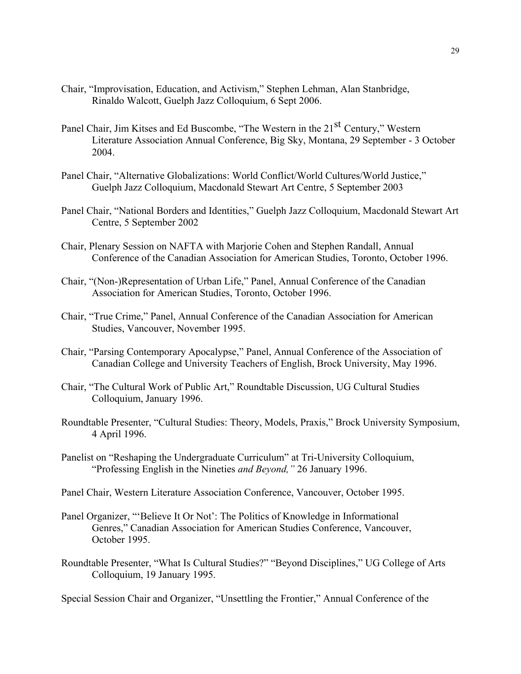- Chair, "Improvisation, Education, and Activism," Stephen Lehman, Alan Stanbridge, Rinaldo Walcott, Guelph Jazz Colloquium, 6 Sept 2006.
- Panel Chair, Jim Kitses and Ed Buscombe, "The Western in the 21<sup>st</sup> Century," Western Literature Association Annual Conference, Big Sky, Montana, 29 September - 3 October 2004.
- Panel Chair, "Alternative Globalizations: World Conflict/World Cultures/World Justice," Guelph Jazz Colloquium, Macdonald Stewart Art Centre, 5 September 2003
- Panel Chair, "National Borders and Identities," Guelph Jazz Colloquium, Macdonald Stewart Art Centre, 5 September 2002
- Chair, Plenary Session on NAFTA with Marjorie Cohen and Stephen Randall, Annual Conference of the Canadian Association for American Studies, Toronto, October 1996.
- Chair, "(Non-)Representation of Urban Life," Panel, Annual Conference of the Canadian Association for American Studies, Toronto, October 1996.
- Chair, "True Crime," Panel, Annual Conference of the Canadian Association for American Studies, Vancouver, November 1995.
- Chair, "Parsing Contemporary Apocalypse," Panel, Annual Conference of the Association of Canadian College and University Teachers of English, Brock University, May 1996.
- Chair, "The Cultural Work of Public Art," Roundtable Discussion, UG Cultural Studies Colloquium, January 1996.
- Roundtable Presenter, "Cultural Studies: Theory, Models, Praxis," Brock University Symposium, 4 April 1996.
- Panelist on "Reshaping the Undergraduate Curriculum" at Tri-University Colloquium, "Professing English in the Nineties *and Beyond,"* 26 January 1996.
- Panel Chair, Western Literature Association Conference, Vancouver, October 1995.
- Panel Organizer, "'Believe It Or Not': The Politics of Knowledge in Informational Genres," Canadian Association for American Studies Conference, Vancouver, October 1995.
- Roundtable Presenter, "What Is Cultural Studies?" "Beyond Disciplines," UG College of Arts Colloquium, 19 January 1995.

Special Session Chair and Organizer, "Unsettling the Frontier," Annual Conference of the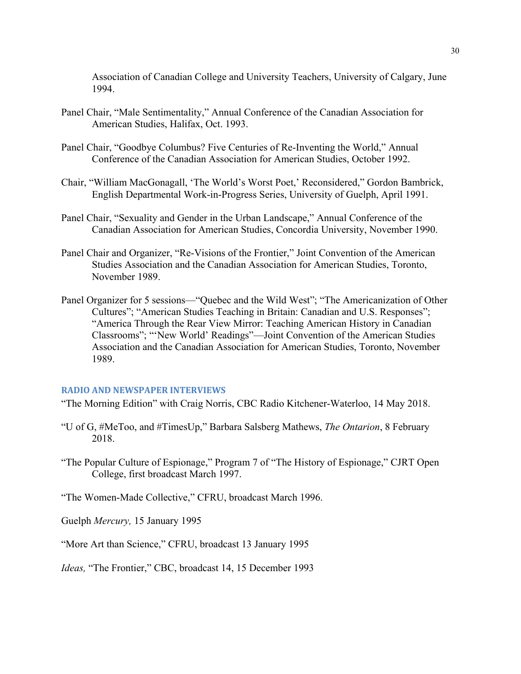Association of Canadian College and University Teachers, University of Calgary, June 1994.

- Panel Chair, "Male Sentimentality," Annual Conference of the Canadian Association for American Studies, Halifax, Oct. 1993.
- Panel Chair, "Goodbye Columbus? Five Centuries of Re-Inventing the World," Annual Conference of the Canadian Association for American Studies, October 1992.
- Chair, "William MacGonagall, 'The World's Worst Poet,' Reconsidered," Gordon Bambrick, English Departmental Work-in-Progress Series, University of Guelph, April 1991.
- Panel Chair, "Sexuality and Gender in the Urban Landscape," Annual Conference of the Canadian Association for American Studies, Concordia University, November 1990.
- Panel Chair and Organizer, "Re-Visions of the Frontier," Joint Convention of the American Studies Association and the Canadian Association for American Studies, Toronto, November 1989.
- Panel Organizer for 5 sessions—"Quebec and the Wild West"; "The Americanization of Other Cultures"; "American Studies Teaching in Britain: Canadian and U.S. Responses"; "America Through the Rear View Mirror: Teaching American History in Canadian Classrooms"; "'New World' Readings"—Joint Convention of the American Studies Association and the Canadian Association for American Studies, Toronto, November 1989.

## **RADIO AND NEWSPAPER INTERVIEWS**

"The Morning Edition" with Craig Norris, CBC Radio Kitchener-Waterloo, 14 May 2018.

- "U of G, #MeToo, and #TimesUp," Barbara Salsberg Mathews, *The Ontarion*, 8 February 2018.
- "The Popular Culture of Espionage," Program 7 of "The History of Espionage," CJRT Open College, first broadcast March 1997.

"The Women-Made Collective," CFRU, broadcast March 1996.

Guelph *Mercury,* 15 January 1995

"More Art than Science," CFRU, broadcast 13 January 1995

*Ideas,* "The Frontier," CBC, broadcast 14, 15 December 1993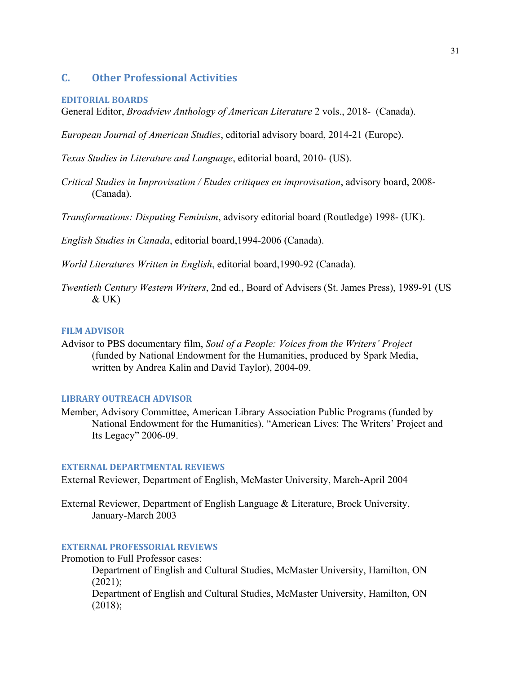# **C. Other Professional Activities**

#### **EDITORIAL BOARDS**

General Editor, *Broadview Anthology of American Literature* 2 vols., 2018- (Canada).

*European Journal of American Studies*, editorial advisory board, 2014-21 (Europe).

*Texas Studies in Literature and Language*, editorial board, 2010- (US).

*Critical Studies in Improvisation / Etudes critiques en improvisation*, advisory board, 2008- (Canada).

*Transformations: Disputing Feminism*, advisory editorial board (Routledge) 1998- (UK).

*English Studies in Canada*, editorial board,1994-2006 (Canada).

*World Literatures Written in English*, editorial board,1990-92 (Canada).

*Twentieth Century Western Writers*, 2nd ed., Board of Advisers (St. James Press), 1989-91 (US  $&$  UK $)$ 

## **FILM ADVISOR**

Advisor to PBS documentary film, *Soul of a People: Voices from the Writers' Project*  (funded by National Endowment for the Humanities, produced by Spark Media, written by Andrea Kalin and David Taylor), 2004-09.

## **LIBRARY OUTREACH ADVISOR**

Member, Advisory Committee, American Library Association Public Programs (funded by National Endowment for the Humanities), "American Lives: The Writers' Project and Its Legacy" 2006-09.

#### **EXTERNAL DEPARTMENTAL REVIEWS**

External Reviewer, Department of English, McMaster University, March-April 2004

External Reviewer, Department of English Language & Literature, Brock University, January-March 2003

## **EXTERNAL PROFESSORIAL REVIEWS**

Promotion to Full Professor cases:

Department of English and Cultural Studies, McMaster University, Hamilton, ON (2021);

Department of English and Cultural Studies, McMaster University, Hamilton, ON (2018);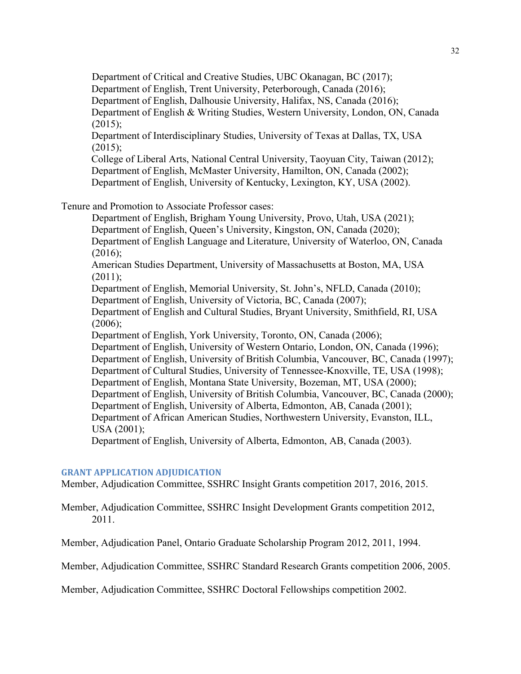Department of Critical and Creative Studies, UBC Okanagan, BC (2017); Department of English, Trent University, Peterborough, Canada (2016); Department of English, Dalhousie University, Halifax, NS, Canada (2016); Department of English & Writing Studies, Western University, London, ON, Canada  $(2015)$ ; Department of Interdisciplinary Studies, University of Texas at Dallas, TX, USA

 $(2015)$ ; College of Liberal Arts, National Central University, Taoyuan City, Taiwan (2012); Department of English, McMaster University, Hamilton, ON, Canada (2002);

Department of English, University of Kentucky, Lexington, KY, USA (2002).

Tenure and Promotion to Associate Professor cases:

Department of English, Brigham Young University, Provo, Utah, USA (2021); Department of English, Queen's University, Kingston, ON, Canada (2020); Department of English Language and Literature, University of Waterloo, ON, Canada  $(2016);$ 

American Studies Department, University of Massachusetts at Boston, MA, USA  $(2011);$ 

Department of English, Memorial University, St. John's, NFLD, Canada (2010); Department of English, University of Victoria, BC, Canada (2007);

Department of English and Cultural Studies, Bryant University, Smithfield, RI, USA  $(2006);$ 

Department of English, York University, Toronto, ON, Canada (2006); Department of English, University of Western Ontario, London, ON, Canada (1996); Department of English, University of British Columbia, Vancouver, BC, Canada (1997); Department of Cultural Studies, University of Tennessee-Knoxville, TE, USA (1998); Department of English, Montana State University, Bozeman, MT, USA (2000); Department of English, University of British Columbia, Vancouver, BC, Canada (2000); Department of English, University of Alberta, Edmonton, AB, Canada (2001); Department of African American Studies, Northwestern University, Evanston, ILL,

USA (2001);

Department of English, University of Alberta, Edmonton, AB, Canada (2003).

## **GRANT APPLICATION ADJUDICATION**

Member, Adjudication Committee, SSHRC Insight Grants competition 2017, 2016, 2015.

Member, Adjudication Committee, SSHRC Insight Development Grants competition 2012, 2011.

Member, Adjudication Panel, Ontario Graduate Scholarship Program 2012, 2011, 1994.

Member, Adjudication Committee, SSHRC Standard Research Grants competition 2006, 2005.

Member, Adjudication Committee, SSHRC Doctoral Fellowships competition 2002.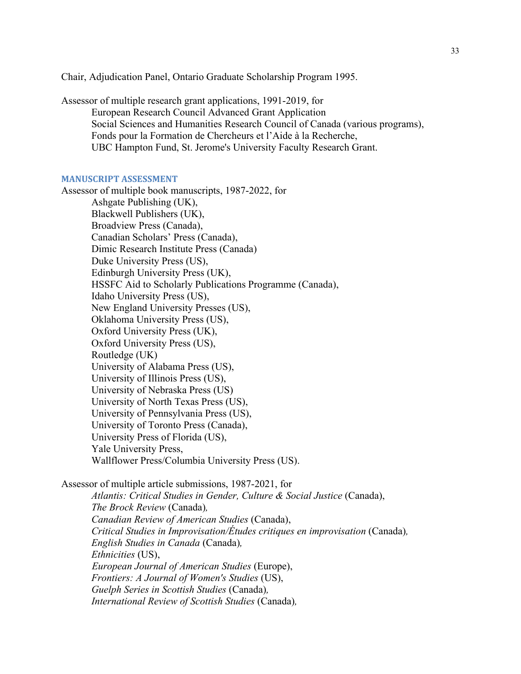Chair, Adjudication Panel, Ontario Graduate Scholarship Program 1995.

Assessor of multiple research grant applications, 1991-2019, for European Research Council Advanced Grant Application Social Sciences and Humanities Research Council of Canada (various programs), Fonds pour la Formation de Chercheurs et l'Aide à la Recherche, UBC Hampton Fund, St. Jerome's University Faculty Research Grant.

## **MANUSCRIPT ASSESSMENT**

Assessor of multiple book manuscripts, 1987-2022, for Ashgate Publishing (UK), Blackwell Publishers (UK), Broadview Press (Canada), Canadian Scholars' Press (Canada), Dimic Research Institute Press (Canada) Duke University Press (US), Edinburgh University Press (UK), HSSFC Aid to Scholarly Publications Programme (Canada), Idaho University Press (US), New England University Presses (US), Oklahoma University Press (US), Oxford University Press (UK), Oxford University Press (US), Routledge (UK) University of Alabama Press (US), University of Illinois Press (US), University of Nebraska Press (US) University of North Texas Press (US), University of Pennsylvania Press (US), University of Toronto Press (Canada), University Press of Florida (US), Yale University Press, Wallflower Press/Columbia University Press (US).

Assessor of multiple article submissions, 1987-2021, for

*Atlantis: Critical Studies in Gender, Culture & Social Justice* (Canada), *The Brock Review* (Canada)*, Canadian Review of American Studies* (Canada), *Critical Studies in Improvisation/Études critiques en improvisation* (Canada)*, English Studies in Canada* (Canada)*, Ethnicities* (US), *European Journal of American Studies* (Europe), *Frontiers: A Journal of Women's Studies* (US), *Guelph Series in Scottish Studies* (Canada)*, International Review of Scottish Studies* (Canada)*,*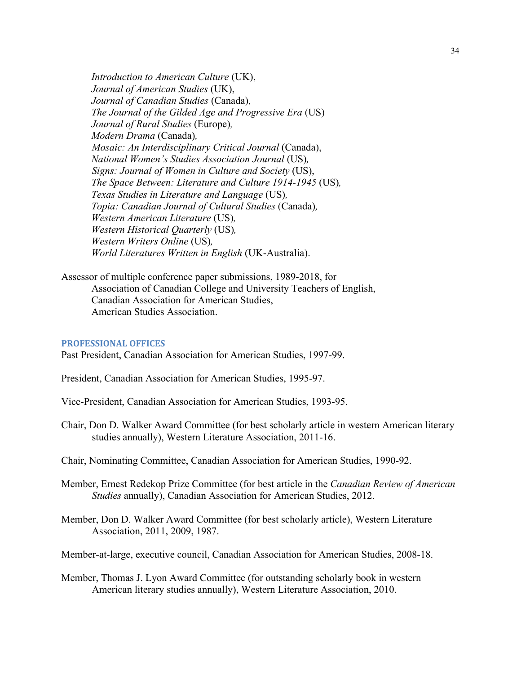*Introduction to American Culture* (UK), *Journal of American Studies* (UK), *Journal of Canadian Studies* (Canada)*, The Journal of the Gilded Age and Progressive Era* (US) *Journal of Rural Studies* (Europe)*, Modern Drama* (Canada)*, Mosaic: An Interdisciplinary Critical Journal (Canada), National Women's Studies Association Journal* (US)*, Signs: Journal of Women in Culture and Society* (US), *The Space Between: Literature and Culture 1914-1945* (US)*, Texas Studies in Literature and Language* (US)*, Topia: Canadian Journal of Cultural Studies* (Canada)*, Western American Literature* (US)*, Western Historical Quarterly* (US)*, Western Writers Online* (US)*, World Literatures Written in English* (UK-Australia).

Assessor of multiple conference paper submissions, 1989-2018, for Association of Canadian College and University Teachers of English, Canadian Association for American Studies, American Studies Association.

## **PROFESSIONAL OFFICES**

Past President, Canadian Association for American Studies, 1997-99.

President, Canadian Association for American Studies, 1995-97.

- Vice-President, Canadian Association for American Studies, 1993-95.
- Chair, Don D. Walker Award Committee (for best scholarly article in western American literary studies annually), Western Literature Association, 2011-16.
- Chair, Nominating Committee, Canadian Association for American Studies, 1990-92.
- Member, Ernest Redekop Prize Committee (for best article in the *Canadian Review of American Studies* annually), Canadian Association for American Studies, 2012.
- Member, Don D. Walker Award Committee (for best scholarly article), Western Literature Association, 2011, 2009, 1987.

Member-at-large, executive council, Canadian Association for American Studies, 2008-18.

Member, Thomas J. Lyon Award Committee (for outstanding scholarly book in western American literary studies annually), Western Literature Association, 2010.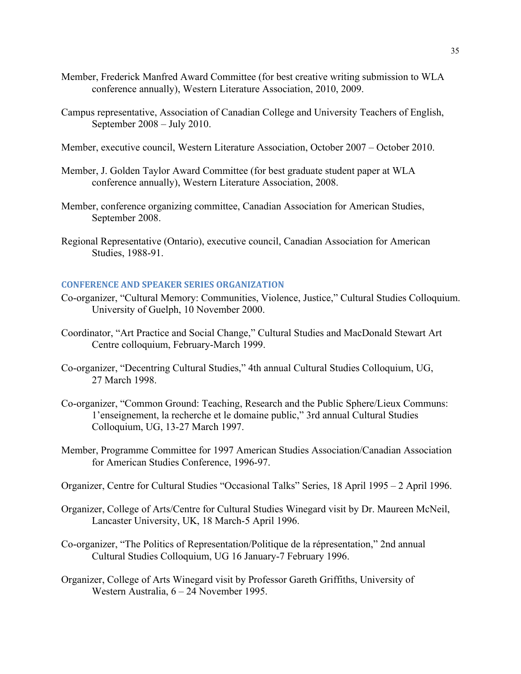- Member, Frederick Manfred Award Committee (for best creative writing submission to WLA conference annually), Western Literature Association, 2010, 2009.
- Campus representative, Association of Canadian College and University Teachers of English, September 2008 – July 2010.
- Member, executive council, Western Literature Association, October 2007 October 2010.
- Member, J. Golden Taylor Award Committee (for best graduate student paper at WLA conference annually), Western Literature Association, 2008.
- Member, conference organizing committee, Canadian Association for American Studies, September 2008.
- Regional Representative (Ontario), executive council, Canadian Association for American Studies, 1988-91.

## **CONFERENCE AND SPEAKER SERIES ORGANIZATION**

- Co-organizer, "Cultural Memory: Communities, Violence, Justice," Cultural Studies Colloquium. University of Guelph, 10 November 2000.
- Coordinator, "Art Practice and Social Change," Cultural Studies and MacDonald Stewart Art Centre colloquium, February-March 1999.
- Co-organizer, "Decentring Cultural Studies," 4th annual Cultural Studies Colloquium, UG, 27 March 1998.
- Co-organizer, "Common Ground: Teaching, Research and the Public Sphere/Lieux Communs: 1'enseignement, la recherche et le domaine public," 3rd annual Cultural Studies Colloquium, UG, 13-27 March 1997.
- Member, Programme Committee for 1997 American Studies Association/Canadian Association for American Studies Conference, 1996-97.
- Organizer, Centre for Cultural Studies "Occasional Talks" Series, 18 April 1995 2 April 1996.
- Organizer, College of Arts/Centre for Cultural Studies Winegard visit by Dr. Maureen McNeil, Lancaster University, UK, 18 March-5 April 1996.
- Co-organizer, "The Politics of Representation/Politique de la répresentation," 2nd annual Cultural Studies Colloquium, UG 16 January-7 February 1996.
- Organizer, College of Arts Winegard visit by Professor Gareth Griffiths, University of Western Australia, 6 – 24 November 1995.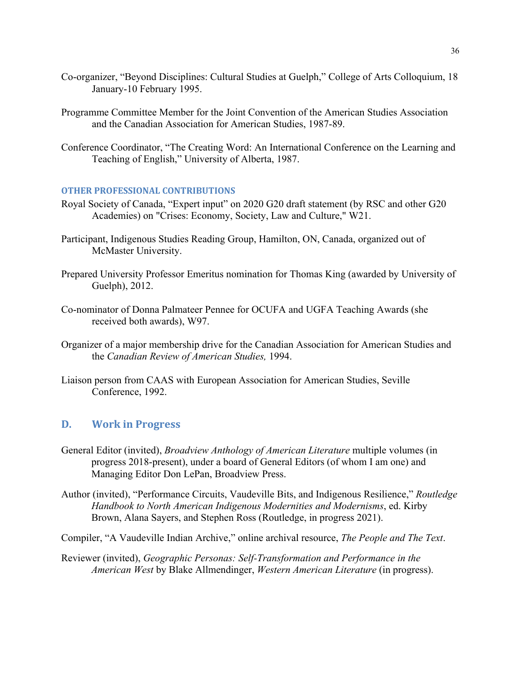- Co-organizer, "Beyond Disciplines: Cultural Studies at Guelph," College of Arts Colloquium, 18 January-10 February 1995.
- Programme Committee Member for the Joint Convention of the American Studies Association and the Canadian Association for American Studies, 1987-89.
- Conference Coordinator, "The Creating Word: An International Conference on the Learning and Teaching of English," University of Alberta, 1987.

## **OTHER PROFESSIONAL CONTRIBUTIONS**

- Royal Society of Canada, "Expert input" on 2020 G20 draft statement (by RSC and other G20 Academies) on "Crises: Economy, Society, Law and Culture," W21.
- Participant, Indigenous Studies Reading Group, Hamilton, ON, Canada, organized out of McMaster University.
- Prepared University Professor Emeritus nomination for Thomas King (awarded by University of Guelph), 2012.
- Co-nominator of Donna Palmateer Pennee for OCUFA and UGFA Teaching Awards (she received both awards), W97.
- Organizer of a major membership drive for the Canadian Association for American Studies and the *Canadian Review of American Studies,* 1994.
- Liaison person from CAAS with European Association for American Studies, Seville Conference, 1992.

## **D. Work in Progress**

- General Editor (invited), *Broadview Anthology of American Literature* multiple volumes (in progress 2018-present), under a board of General Editors (of whom I am one) and Managing Editor Don LePan, Broadview Press.
- Author (invited), "Performance Circuits, Vaudeville Bits, and Indigenous Resilience," *Routledge Handbook to North American Indigenous Modernities and Modernisms*, ed. Kirby Brown, Alana Sayers, and Stephen Ross (Routledge, in progress 2021).
- Compiler, "A Vaudeville Indian Archive," online archival resource, *The People and The Text*.

Reviewer (invited), *Geographic Personas: Self-Transformation and Performance in the American West* by Blake Allmendinger, *Western American Literature* (in progress).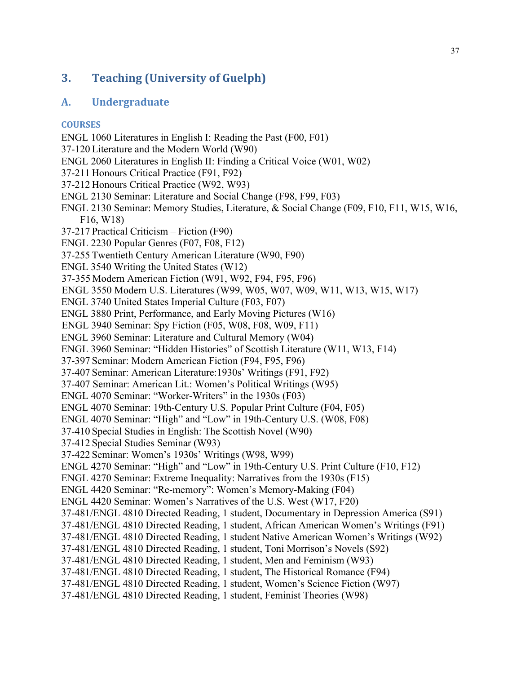# **3. Teaching (University of Guelph)**

# **A. Undergraduate**

## **COURSES**

ENGL 1060 Literatures in English I: Reading the Past (F00, F01) 37-120 Literature and the Modern World (W90) ENGL 2060 Literatures in English II: Finding a Critical Voice (W01, W02) 37-211 Honours Critical Practice (F91, F92) 37-212 Honours Critical Practice (W92, W93) ENGL 2130 Seminar: Literature and Social Change (F98, F99, F03) ENGL 2130 Seminar: Memory Studies, Literature, & Social Change (F09, F10, F11, W15, W16, F16, W18) 37-217 Practical Criticism – Fiction (F90) ENGL 2230 Popular Genres (F07, F08, F12) 37-255 Twentieth Century American Literature (W90, F90) ENGL 3540 Writing the United States (W12) 37-355 Modern American Fiction (W91, W92, F94, F95, F96) ENGL 3550 Modern U.S. Literatures (W99, W05, W07, W09, W11, W13, W15, W17) ENGL 3740 United States Imperial Culture (F03, F07) ENGL 3880 Print, Performance, and Early Moving Pictures (W16) ENGL 3940 Seminar: Spy Fiction (F05, W08, F08, W09, F11) ENGL 3960 Seminar: Literature and Cultural Memory (W04) ENGL 3960 Seminar: "Hidden Histories" of Scottish Literature (W11, W13, F14) 37-397 Seminar: Modern American Fiction (F94, F95, F96) 37-407 Seminar: American Literature:1930s' Writings (F91, F92) 37-407 Seminar: American Lit.: Women's Political Writings (W95) ENGL 4070 Seminar: "Worker-Writers" in the 1930s (F03) ENGL 4070 Seminar: 19th-Century U.S. Popular Print Culture (F04, F05) ENGL 4070 Seminar: "High" and "Low" in 19th-Century U.S. (W08, F08) 37-410 Special Studies in English: The Scottish Novel (W90) 37-412 Special Studies Seminar (W93) 37-422 Seminar: Women's 1930s' Writings (W98, W99) ENGL 4270 Seminar: "High" and "Low" in 19th-Century U.S. Print Culture (F10, F12) ENGL 4270 Seminar: Extreme Inequality: Narratives from the 1930s (F15) ENGL 4420 Seminar: "Re-memory": Women's Memory-Making (F04) ENGL 4420 Seminar: Women's Narratives of the U.S. West (W17, F20) 37-481/ENGL 4810 Directed Reading, 1 student, Documentary in Depression America (S91) 37-481/ENGL 4810 Directed Reading, 1 student, African American Women's Writings (F91) 37-481/ENGL 4810 Directed Reading, 1 student Native American Women's Writings (W92) 37-481/ENGL 4810 Directed Reading, 1 student, Toni Morrison's Novels (S92) 37-481/ENGL 4810 Directed Reading, 1 student, Men and Feminism (W93) 37-481/ENGL 4810 Directed Reading, 1 student, The Historical Romance (F94) 37-481/ENGL 4810 Directed Reading, 1 student, Women's Science Fiction (W97)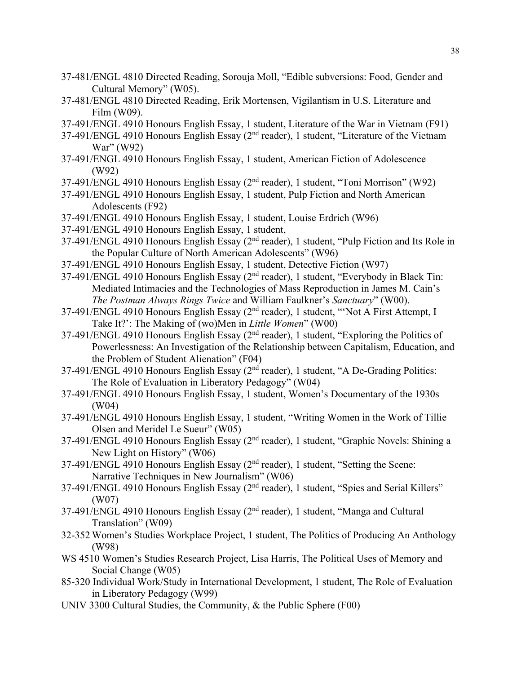- 37-481/ENGL 4810 Directed Reading, Sorouja Moll, "Edible subversions: Food, Gender and Cultural Memory" (W05).
- 37-481/ENGL 4810 Directed Reading, Erik Mortensen, Vigilantism in U.S. Literature and Film (W09).
- 37-491/ENGL 4910 Honours English Essay, 1 student, Literature of the War in Vietnam (F91)
- 37-491/ENGL 4910 Honours English Essay (2<sup>nd</sup> reader), 1 student, "Literature of the Vietnam War" (W92)
- 37-491/ENGL 4910 Honours English Essay, 1 student, American Fiction of Adolescence (W92)
- 37-491/ENGL 4910 Honours English Essay (2nd reader), 1 student, "Toni Morrison" (W92)
- 37-491/ENGL 4910 Honours English Essay, 1 student, Pulp Fiction and North American Adolescents (F92)
- 37-491/ENGL 4910 Honours English Essay, 1 student, Louise Erdrich (W96)
- 37-491/ENGL 4910 Honours English Essay, 1 student,
- 37-491/ENGL 4910 Honours English Essay (2<sup>nd</sup> reader), 1 student, "Pulp Fiction and Its Role in the Popular Culture of North American Adolescents" (W96)
- 37-491/ENGL 4910 Honours English Essay, 1 student, Detective Fiction (W97)
- 37-491/ENGL 4910 Honours English Essay (2<sup>nd</sup> reader), 1 student, "Everybody in Black Tin: Mediated Intimacies and the Technologies of Mass Reproduction in James M. Cain's *The Postman Always Rings Twice* and William Faulkner's *Sanctuary*" (W00).
- 37-491/ENGL 4910 Honours English Essay (2<sup>nd</sup> reader), 1 student, "'Not A First Attempt, I Take It?': The Making of (wo)Men in *Little Women*" (W00)
- 37-491/ENGL 4910 Honours English Essay ( $2<sup>nd</sup>$  reader), 1 student, "Exploring the Politics of Powerlessness: An Investigation of the Relationship between Capitalism, Education, and the Problem of Student Alienation" (F04)
- 37-491/ENGL 4910 Honours English Essay (2nd reader), 1 student, "A De-Grading Politics: The Role of Evaluation in Liberatory Pedagogy" (W04)
- 37-491/ENGL 4910 Honours English Essay, 1 student, Women's Documentary of the 1930s (W04)
- 37-491/ENGL 4910 Honours English Essay, 1 student, "Writing Women in the Work of Tillie Olsen and Meridel Le Sueur" (W05)
- 37-491/ENGL 4910 Honours English Essay (2nd reader), 1 student, "Graphic Novels: Shining a New Light on History" (W06)
- 37-491/ENGL 4910 Honours English Essay (2nd reader), 1 student, "Setting the Scene: Narrative Techniques in New Journalism" (W06)
- 37-491/ENGL 4910 Honours English Essay (2<sup>nd</sup> reader), 1 student, "Spies and Serial Killers" (W07)
- 37-491/ENGL 4910 Honours English Essay (2<sup>nd</sup> reader), 1 student, "Manga and Cultural Translation" (W09)
- 32-352 Women's Studies Workplace Project, 1 student, The Politics of Producing An Anthology (W98)
- WS 4510 Women's Studies Research Project, Lisa Harris, The Political Uses of Memory and Social Change (W05)
- 85-320 Individual Work/Study in International Development, 1 student, The Role of Evaluation in Liberatory Pedagogy (W99)
- UNIV 3300 Cultural Studies, the Community, & the Public Sphere (F00)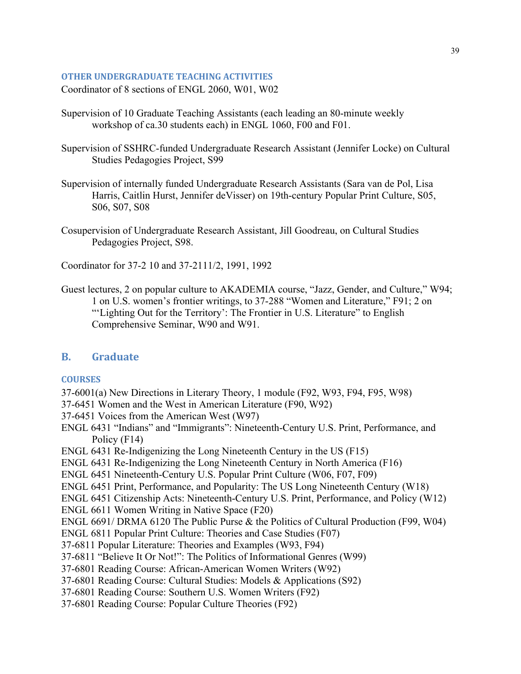## **OTHER UNDERGRADUATE TEACHING ACTIVITIES**

Coordinator of 8 sections of ENGL 2060, W01, W02

- Supervision of 10 Graduate Teaching Assistants (each leading an 80-minute weekly workshop of ca.30 students each) in ENGL 1060, F00 and F01.
- Supervision of SSHRC-funded Undergraduate Research Assistant (Jennifer Locke) on Cultural Studies Pedagogies Project, S99
- Supervision of internally funded Undergraduate Research Assistants (Sara van de Pol, Lisa Harris, Caitlin Hurst, Jennifer deVisser) on 19th-century Popular Print Culture, S05, S06, S07, S08
- Cosupervision of Undergraduate Research Assistant, Jill Goodreau, on Cultural Studies Pedagogies Project, S98.

Coordinator for 37-2 10 and 37-2111/2, 1991, 1992

Guest lectures, 2 on popular culture to AKADEMIA course, "Jazz, Gender, and Culture," W94; 1 on U.S. women's frontier writings, to 37-288 "Women and Literature," F91; 2 on "'Lighting Out for the Territory': The Frontier in U.S. Literature" to English Comprehensive Seminar, W90 and W91.

## **B. Graduate**

## **COURSES**

- 37-6001(a) New Directions in Literary Theory, 1 module (F92, W93, F94, F95, W98)
- 37-6451 Women and the West in American Literature (F90, W92)
- 37-6451 Voices from the American West (W97)
- ENGL 6431 "Indians" and "Immigrants": Nineteenth-Century U.S. Print, Performance, and Policy (F14)

ENGL 6431 Re-Indigenizing the Long Nineteenth Century in the US (F15)

- ENGL 6431 Re-Indigenizing the Long Nineteenth Century in North America (F16)
- ENGL 6451 Nineteenth-Century U.S. Popular Print Culture (W06, F07, F09)
- ENGL 6451 Print, Performance, and Popularity: The US Long Nineteenth Century (W18)
- ENGL 6451 Citizenship Acts: Nineteenth-Century U.S. Print, Performance, and Policy (W12)

ENGL 6611 Women Writing in Native Space (F20)

ENGL 6691/ DRMA 6120 The Public Purse & the Politics of Cultural Production (F99, W04)

ENGL 6811 Popular Print Culture: Theories and Case Studies (F07)

37-6811 Popular Literature: Theories and Examples (W93, F94)

37-6811 "Believe It Or Not!": The Politics of Informational Genres (W99)

37-6801 Reading Course: African-American Women Writers (W92)

37-6801 Reading Course: Cultural Studies: Models & Applications (S92)

37-6801 Reading Course: Southern U.S. Women Writers (F92)

37-6801 Reading Course: Popular Culture Theories (F92)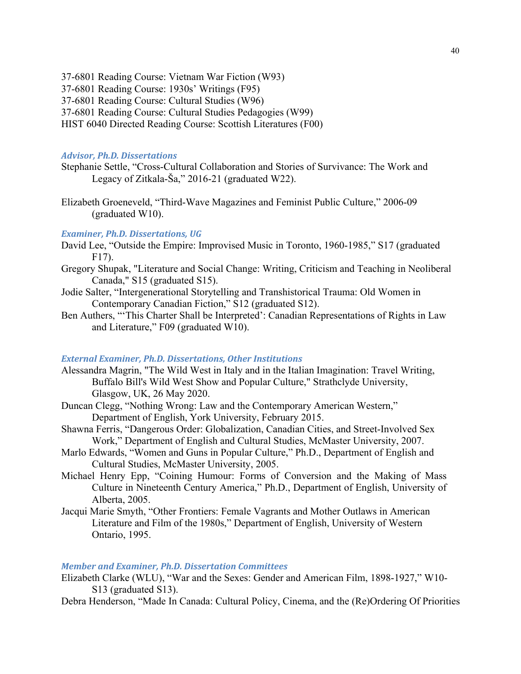37-6801 Reading Course: Vietnam War Fiction (W93)

- 37-6801 Reading Course: 1930s' Writings (F95)
- 37-6801 Reading Course: Cultural Studies (W96)
- 37-6801 Reading Course: Cultural Studies Pedagogies (W99)
- HIST 6040 Directed Reading Course: Scottish Literatures (F00)

## *Advisor, Ph.D. Dissertations*

- Stephanie Settle, "Cross-Cultural Collaboration and Stories of Survivance: The Work and Legacy of Zitkala-Ša," 2016-21 (graduated W22).
- Elizabeth Groeneveld, "Third-Wave Magazines and Feminist Public Culture," 2006-09 (graduated W10).

## *Examiner, Ph.D. Dissertations, UG*

- David Lee, "Outside the Empire: Improvised Music in Toronto, 1960-1985," S17 (graduated F17).
- Gregory Shupak, "Literature and Social Change: Writing, Criticism and Teaching in Neoliberal Canada," S15 (graduated S15).
- Jodie Salter, "Intergenerational Storytelling and Transhistorical Trauma: Old Women in Contemporary Canadian Fiction," S12 (graduated S12).
- Ben Authers, "'This Charter Shall be Interpreted': Canadian Representations of Rights in Law and Literature," F09 (graduated W10).

## *External Examiner, Ph.D. Dissertations, Other Institutions*

- Alessandra Magrin, "The Wild West in Italy and in the Italian Imagination: Travel Writing, Buffalo Bill's Wild West Show and Popular Culture," Strathclyde University, Glasgow, UK, 26 May 2020.
- Duncan Clegg, "Nothing Wrong: Law and the Contemporary American Western," Department of English, York University, February 2015.
- Shawna Ferris, "Dangerous Order: Globalization, Canadian Cities, and Street-Involved Sex Work," Department of English and Cultural Studies, McMaster University, 2007.
- Marlo Edwards, "Women and Guns in Popular Culture," Ph.D., Department of English and Cultural Studies, McMaster University, 2005.
- Michael Henry Epp, "Coining Humour: Forms of Conversion and the Making of Mass Culture in Nineteenth Century America," Ph.D., Department of English, University of Alberta, 2005.
- Jacqui Marie Smyth, "Other Frontiers: Female Vagrants and Mother Outlaws in American Literature and Film of the 1980s," Department of English, University of Western Ontario, 1995.

## *Member and Examiner, Ph.D. Dissertation Committees*

Elizabeth Clarke (WLU), "War and the Sexes: Gender and American Film, 1898-1927," W10- S13 (graduated S13).

Debra Henderson, "Made In Canada: Cultural Policy, Cinema, and the (Re)Ordering Of Priorities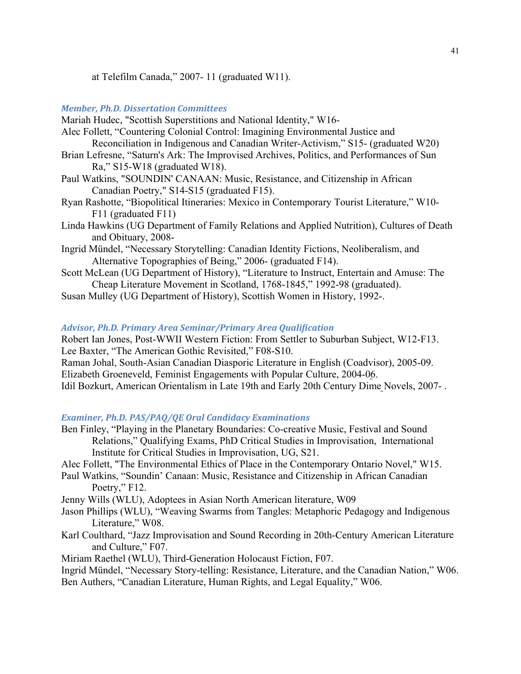at Telefilm Canada," 2007- 11 (graduated W11).

## *Member, Ph.D. Dissertation Committees*

Mariah Hudec, "Scottish Superstitions and National Identity," W16-

- Alec Follett, "Countering Colonial Control: Imagining Environmental Justice and Reconciliation in Indigenous and Canadian Writer-Activism," S15- (graduated W20)
- Brian Lefresne, "Saturn's Ark: The Improvised Archives, Politics, and Performances of Sun Ra," S15-W18 (graduated W18).
- Paul Watkins, "SOUNDIN' CANAAN: Music, Resistance, and Citizenship in African Canadian Poetry," S14-S15 (graduated F15).
- Ryan Rashotte, "Biopolitical Itineraries: Mexico in Contemporary Tourist Literature," W10- F11 (graduated F11)
- Linda Hawkins (UG Department of Family Relations and Applied Nutrition), Cultures of Death and Obituary, 2008-
- Ingrid Mündel, "Necessary Storytelling: Canadian Identity Fictions, Neoliberalism, and Alternative Topographies of Being," 2006- (graduated F14).
- Scott McLean (UG Department of History), "Literature to Instruct, Entertain and Amuse: The Cheap Literature Movement in Scotland, 1768-1845," 1992-98 (graduated).

Susan Mulley (UG Department of History), Scottish Women in History, 1992-.

## *Advisor, Ph.D. Primary Area Seminar/Primary Area Qualification*

Robert Ian Jones, Post-WWII Western Fiction: From Settler to Suburban Subject, W12-F13. Lee Baxter, "The American Gothic Revisited," F08-S10. Raman Johal, South-Asian Canadian Diasporic Literature in English (Coadvisor), 2005-09. Elizabeth Groeneveld, Feminist Engagements with Popular Culture, 2004-06. Idil Bozkurt, American Orientalism in Late 19th and Early 20th Century Dime Novels, 2007- .

## *Examiner, Ph.D. PAS/PAQ/QE Oral Candidacy Examinations*

- Ben Finley, "Playing in the Planetary Boundaries: Co-creative Music, Festival and Sound Relations," Qualifying Exams, PhD Critical Studies in Improvisation, International Institute for Critical Studies in Improvisation, UG, S21.
- Alec Follett, "The Environmental Ethics of Place in the Contemporary Ontario Novel," W15.
- Paul Watkins, "Soundin' Canaan: Music, Resistance and Citizenship in African Canadian Poetry," F<sub>12</sub>.
- Jenny Wills (WLU), Adoptees in Asian North American literature, W09
- Jason Phillips (WLU), "Weaving Swarms from Tangles: Metaphoric Pedagogy and Indigenous Literature," W08.
- Karl Coulthard, "Jazz Improvisation and Sound Recording in 20th-Century American Literature and Culture," F07.

Miriam Raethel (WLU), Third-Generation Holocaust Fiction, F07.

Ingrid Mündel, "Necessary Story-telling: Resistance, Literature, and the Canadian Nation," W06. Ben Authers, "Canadian Literature, Human Rights, and Legal Equality," W06.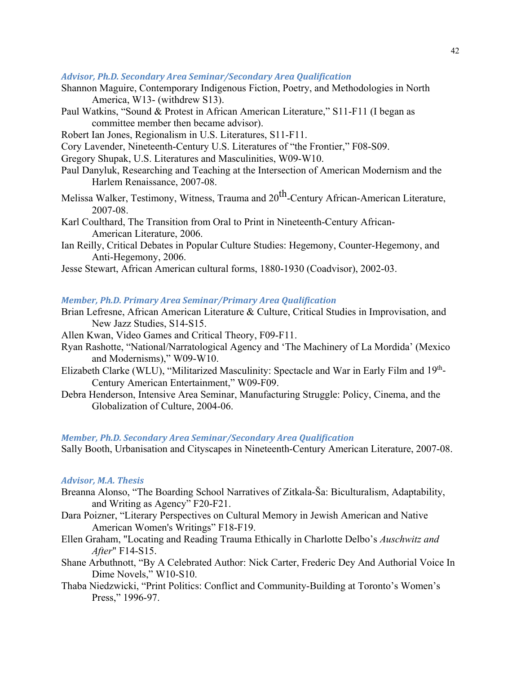## *Advisor, Ph.D. Secondary Area Seminar/Secondary Area Qualification*

- Shannon Maguire, Contemporary Indigenous Fiction, Poetry, and Methodologies in North America, W13- (withdrew S13).
- Paul Watkins, "Sound & Protest in African American Literature," S11-F11 (I began as committee member then became advisor).
- Robert Ian Jones, Regionalism in U.S. Literatures, S11-F11.
- Cory Lavender, Nineteenth-Century U.S. Literatures of "the Frontier," F08-S09.
- Gregory Shupak, U.S. Literatures and Masculinities, W09-W10.
- Paul Danyluk, Researching and Teaching at the Intersection of American Modernism and the Harlem Renaissance, 2007-08.
- Melissa Walker, Testimony, Witness, Trauma and 20<sup>th</sup>-Century African-American Literature, 2007-08.
- Karl Coulthard, The Transition from Oral to Print in Nineteenth-Century African-American Literature, 2006.
- Ian Reilly, Critical Debates in Popular Culture Studies: Hegemony, Counter-Hegemony, and Anti-Hegemony, 2006.
- Jesse Stewart, African American cultural forms, 1880-1930 (Coadvisor), 2002-03.

## *Member, Ph.D. Primary Area Seminar/Primary Area Qualification*

- Brian Lefresne, African American Literature & Culture, Critical Studies in Improvisation, and New Jazz Studies, S14-S15.
- Allen Kwan, Video Games and Critical Theory, F09-F11.
- Ryan Rashotte, "National/Narratological Agency and 'The Machinery of La Mordida' (Mexico and Modernisms)," W09-W10.
- Elizabeth Clarke (WLU), "Militarized Masculinity: Spectacle and War in Early Film and 19<sup>th</sup>-Century American Entertainment," W09-F09.
- Debra Henderson, Intensive Area Seminar, Manufacturing Struggle: Policy, Cinema, and the Globalization of Culture, 2004-06.

## *Member, Ph.D. Secondary Area Seminar/Secondary Area Qualification*

Sally Booth, Urbanisation and Cityscapes in Nineteenth-Century American Literature, 2007-08.

#### *Advisor, M.A. Thesis*

- Breanna Alonso, "The Boarding School Narratives of Zitkala-Ša: Biculturalism, Adaptability, and Writing as Agency" F20-F21.
- Dara Poizner, "Literary Perspectives on Cultural Memory in Jewish American and Native American Women's Writings" F18-F19.
- Ellen Graham, "Locating and Reading Trauma Ethically in Charlotte Delbo's *Auschwitz and After*" F14-S15.
- Shane Arbuthnott, "By A Celebrated Author: Nick Carter, Frederic Dey And Authorial Voice In Dime Novels," W10-S10.
- Thaba Niedzwicki, "Print Politics: Conflict and Community-Building at Toronto's Women's Press," 1996-97.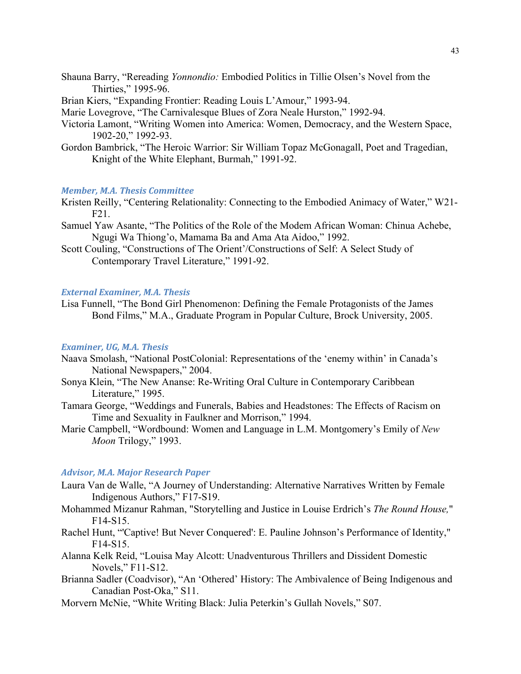- Shauna Barry, "Rereading *Yonnondio:* Embodied Politics in Tillie Olsen's Novel from the Thirties," 1995-96.
- Brian Kiers, "Expanding Frontier: Reading Louis L'Amour," 1993-94.

Marie Lovegrove, "The Carnivalesque Blues of Zora Neale Hurston," 1992-94.

- Victoria Lamont, "Writing Women into America: Women, Democracy, and the Western Space, 1902-20," 1992-93.
- Gordon Bambrick, "The Heroic Warrior: Sir William Topaz McGonagall, Poet and Tragedian, Knight of the White Elephant, Burmah," 1991-92.

#### *Member, M.A. Thesis Committee*

- Kristen Reilly, "Centering Relationality: Connecting to the Embodied Animacy of Water," W21- F21.
- Samuel Yaw Asante, "The Politics of the Role of the Modem African Woman: Chinua Achebe, Ngugi Wa Thiong'o, Mamama Ba and Ama Ata Aidoo," 1992.
- Scott Couling, "Constructions of The Orient'/Constructions of Self: A Select Study of Contemporary Travel Literature," 1991-92.

## *External Examiner, M.A. Thesis*

Lisa Funnell, "The Bond Girl Phenomenon: Defining the Female Protagonists of the James Bond Films," M.A., Graduate Program in Popular Culture, Brock University, 2005.

## *Examiner, UG, M.A. Thesis*

- Naava Smolash, "National PostColonial: Representations of the 'enemy within' in Canada's National Newspapers," 2004.
- Sonya Klein, "The New Ananse: Re-Writing Oral Culture in Contemporary Caribbean Literature," 1995.
- Tamara George, "Weddings and Funerals, Babies and Headstones: The Effects of Racism on Time and Sexuality in Faulkner and Morrison," 1994.
- Marie Campbell, "Wordbound: Women and Language in L.M. Montgomery's Emily of *New Moon* Trilogy," 1993.

#### *Advisor, M.A. Major Research Paper*

- Laura Van de Walle, "A Journey of Understanding: Alternative Narratives Written by Female Indigenous Authors," F17-S19.
- Mohammed Mizanur Rahman, "Storytelling and Justice in Louise Erdrich's *The Round House,*" F14-S15.
- Rachel Hunt, "'Captive! But Never Conquered': E. Pauline Johnson's Performance of Identity," F14-S15.
- Alanna Kelk Reid, "Louisa May Alcott: Unadventurous Thrillers and Dissident Domestic Novels," F11-S12.
- Brianna Sadler (Coadvisor), "An 'Othered' History: The Ambivalence of Being Indigenous and Canadian Post-Oka," S11.
- Morvern McNie, "White Writing Black: Julia Peterkin's Gullah Novels," S07.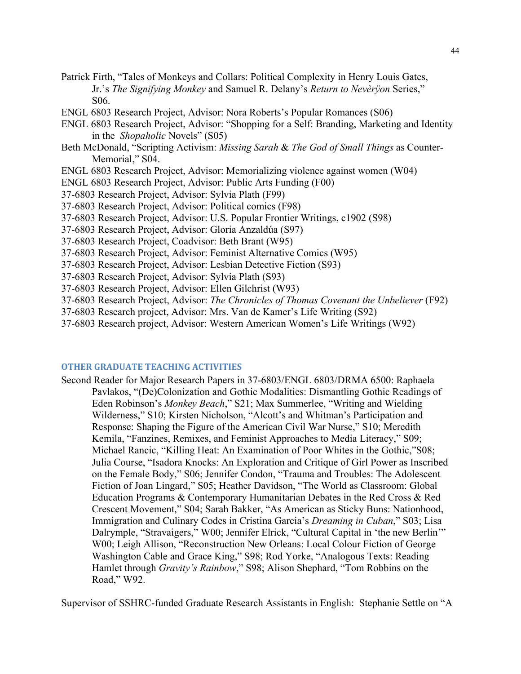- Patrick Firth, "Tales of Monkeys and Collars: Political Complexity in Henry Louis Gates, Jr.'s *The Signifying Monkey* and Samuel R. Delany's *Return to Nevèrÿon* Series," S06.
- ENGL 6803 Research Project, Advisor: Nora Roberts's Popular Romances (S06)
- ENGL 6803 Research Project, Advisor: "Shopping for a Self: Branding, Marketing and Identity in the *Shopaholic* Novels" (S05)
- Beth McDonald, "Scripting Activism: *Missing Sarah* & *The God of Small Things* as Counter-Memorial," S04.
- ENGL 6803 Research Project, Advisor: Memorializing violence against women (W04)
- ENGL 6803 Research Project, Advisor: Public Arts Funding (F00)
- 37-6803 Research Project, Advisor: Sylvia Plath (F99)
- 37-6803 Research Project, Advisor: Political comics (F98)
- 37-6803 Research Project, Advisor: U.S. Popular Frontier Writings, c1902 (S98)
- 37-6803 Research Project, Advisor: Gloria Anzaldúa (S97)
- 37-6803 Research Project, Coadvisor: Beth Brant (W95)
- 37-6803 Research Project, Advisor: Feminist Alternative Comics (W95)
- 37-6803 Research Project, Advisor: Lesbian Detective Fiction (S93)
- 37-6803 Research Project, Advisor: Sylvia Plath (S93)
- 37-6803 Research Project, Advisor: Ellen Gilchrist (W93)
- 37-6803 Research Project, Advisor: *The Chronicles of Thomas Covenant the Unbeliever* (F92)
- 37-6803 Research project, Advisor: Mrs. Van de Kamer's Life Writing (S92)
- 37-6803 Research project, Advisor: Western American Women's Life Writings (W92)

## **OTHER GRADUATE TEACHING ACTIVITIES**

Second Reader for Major Research Papers in 37-6803/ENGL 6803/DRMA 6500: Raphaela Pavlakos, "(De)Colonization and Gothic Modalities: Dismantling Gothic Readings of Eden Robinson's *Monkey Beach*," S21; Max Summerlee, "Writing and Wielding Wilderness," S10; Kirsten Nicholson, "Alcott's and Whitman's Participation and Response: Shaping the Figure of the American Civil War Nurse," S10; Meredith Kemila, "Fanzines, Remixes, and Feminist Approaches to Media Literacy," S09; Michael Rancic, "Killing Heat: An Examination of Poor Whites in the Gothic,"S08; Julia Course, "Isadora Knocks: An Exploration and Critique of Girl Power as Inscribed on the Female Body," S06; Jennifer Condon, "Trauma and Troubles: The Adolescent Fiction of Joan Lingard," S05; Heather Davidson, "The World as Classroom: Global Education Programs & Contemporary Humanitarian Debates in the Red Cross & Red Crescent Movement," S04; Sarah Bakker, "As American as Sticky Buns: Nationhood, Immigration and Culinary Codes in Cristina Garcia's *Dreaming in Cuban*," S03; Lisa Dalrymple, "Stravaigers," W00; Jennifer Elrick, "Cultural Capital in 'the new Berlin'" W00; Leigh Allison, "Reconstruction New Orleans: Local Colour Fiction of George Washington Cable and Grace King," S98; Rod Yorke, "Analogous Texts: Reading Hamlet through *Gravity's Rainbow*," S98; Alison Shephard, "Tom Robbins on the Road," W92.

Supervisor of SSHRC-funded Graduate Research Assistants in English: Stephanie Settle on "A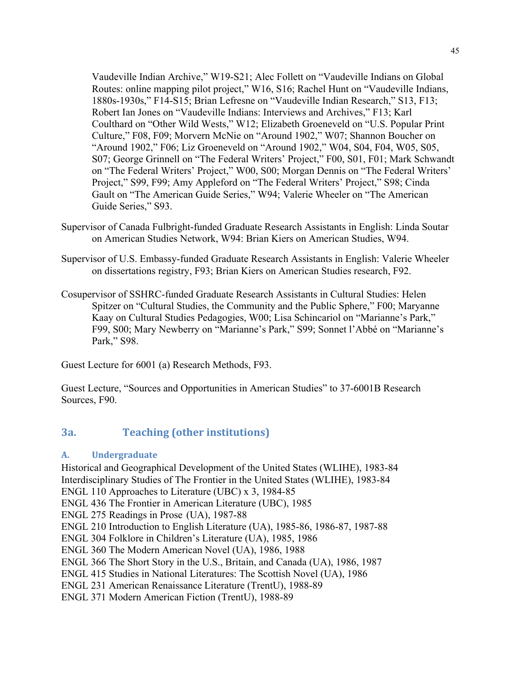Vaudeville Indian Archive," W19-S21; Alec Follett on "Vaudeville Indians on Global Routes: online mapping pilot project," W16, S16; Rachel Hunt on "Vaudeville Indians, 1880s-1930s," F14-S15; Brian Lefresne on "Vaudeville Indian Research," S13, F13; Robert Ian Jones on "Vaudeville Indians: Interviews and Archives," F13; Karl Coulthard on "Other Wild Wests," W12; Elizabeth Groeneveld on "U.S. Popular Print Culture," F08, F09; Morvern McNie on "Around 1902," W07; Shannon Boucher on "Around 1902," F06; Liz Groeneveld on "Around 1902," W04, S04, F04, W05, S05, S07; George Grinnell on "The Federal Writers' Project," F00, S01, F01; Mark Schwandt on "The Federal Writers' Project," W00, S00; Morgan Dennis on "The Federal Writers' Project," S99, F99; Amy Appleford on "The Federal Writers' Project," S98; Cinda Gault on "The American Guide Series," W94; Valerie Wheeler on "The American Guide Series," S93.

- Supervisor of Canada Fulbright-funded Graduate Research Assistants in English: Linda Soutar on American Studies Network, W94: Brian Kiers on American Studies, W94.
- Supervisor of U.S. Embassy-funded Graduate Research Assistants in English: Valerie Wheeler on dissertations registry, F93; Brian Kiers on American Studies research, F92.
- Cosupervisor of SSHRC-funded Graduate Research Assistants in Cultural Studies: Helen Spitzer on "Cultural Studies, the Community and the Public Sphere," F00; Maryanne Kaay on Cultural Studies Pedagogies, W00; Lisa Schincariol on "Marianne's Park," F99, S00; Mary Newberry on "Marianne's Park," S99; Sonnet l'Abbé on "Marianne's Park," S98.

Guest Lecture for 6001 (a) Research Methods, F93.

Guest Lecture, "Sources and Opportunities in American Studies" to 37-6001B Research Sources, F90.

# **3a. Teaching (other institutions)**

## **A. Undergraduate**

Historical and Geographical Development of the United States (WLIHE), 1983-84 Interdisciplinary Studies of The Frontier in the United States (WLIHE), 1983-84 ENGL 110 Approaches to Literature (UBC) x 3, 1984-85 ENGL 436 The Frontier in American Literature (UBC), 1985 ENGL 275 Readings in Prose (UA), 1987-88 ENGL 210 Introduction to English Literature (UA), 1985-86, 1986-87, 1987-88 ENGL 304 Folklore in Children's Literature (UA), 1985, 1986 ENGL 360 The Modern American Novel (UA), 1986, 1988 ENGL 366 The Short Story in the U.S., Britain, and Canada (UA), 1986, 1987 ENGL 415 Studies in National Literatures: The Scottish Novel (UA), 1986 ENGL 231 American Renaissance Literature (TrentU), 1988-89 ENGL 371 Modern American Fiction (TrentU), 1988-89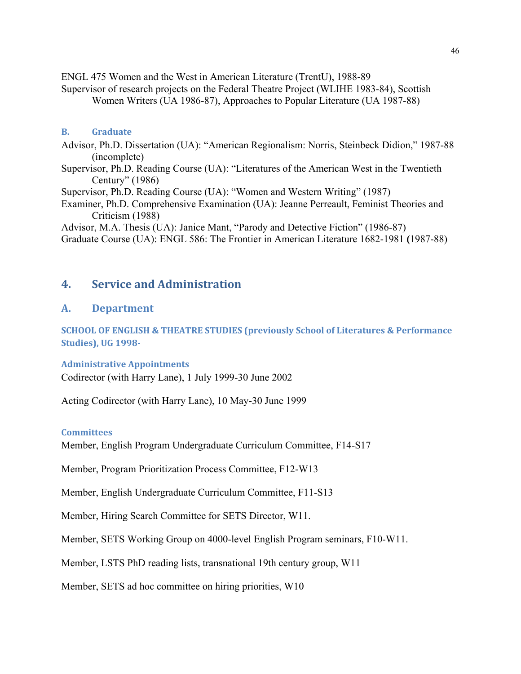ENGL 475 Women and the West in American Literature (TrentU), 1988-89

Supervisor of research projects on the Federal Theatre Project (WLIHE 1983-84), Scottish Women Writers (UA 1986-87), Approaches to Popular Literature (UA 1987-88)

## **B. Graduate**

Advisor, Ph.D. Dissertation (UA): "American Regionalism: Norris, Steinbeck Didion," 1987-88 (incomplete)

Supervisor, Ph.D. Reading Course (UA): "Literatures of the American West in the Twentieth Century" (1986)

Supervisor, Ph.D. Reading Course (UA): "Women and Western Writing" (1987)

Examiner, Ph.D. Comprehensive Examination (UA): Jeanne Perreault, Feminist Theories and Criticism (1988)

Advisor, M.A. Thesis (UA): Janice Mant, "Parody and Detective Fiction" (1986-87)

Graduate Course (UA): ENGL 586: The Frontier in American Literature 1682-1981 **(**1987-88)

# **4. Service and Administration**

# **A. Department**

**SCHOOL OF ENGLISH & THEATRE STUDIES (previously School of Literatures & Performance Studies), UG 1998-**

## **Administrative Appointments**

Codirector (with Harry Lane), 1 July 1999-30 June 2002

Acting Codirector (with Harry Lane), 10 May-30 June 1999

## **Committees**

Member, English Program Undergraduate Curriculum Committee, F14-S17

Member, Program Prioritization Process Committee, F12-W13

Member, English Undergraduate Curriculum Committee, F11-S13

Member, Hiring Search Committee for SETS Director, W11.

Member, SETS Working Group on 4000-level English Program seminars, F10-W11.

Member, LSTS PhD reading lists, transnational 19th century group, W11

Member, SETS ad hoc committee on hiring priorities, W10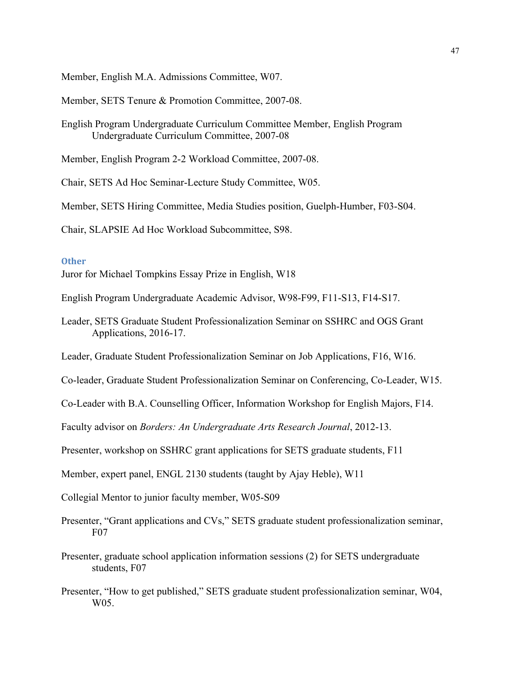Member, English M.A. Admissions Committee, W07.

Member, SETS Tenure & Promotion Committee, 2007-08.

English Program Undergraduate Curriculum Committee Member, English Program Undergraduate Curriculum Committee, 2007-08

Member, English Program 2-2 Workload Committee, 2007-08.

Chair, SETS Ad Hoc Seminar-Lecture Study Committee, W05.

Member, SETS Hiring Committee, Media Studies position, Guelph-Humber, F03-S04.

Chair, SLAPSIE Ad Hoc Workload Subcommittee, S98.

## **Other**

Juror for Michael Tompkins Essay Prize in English, W18

- English Program Undergraduate Academic Advisor, W98-F99, F11-S13, F14-S17.
- Leader, SETS Graduate Student Professionalization Seminar on SSHRC and OGS Grant Applications, 2016-17.

Leader, Graduate Student Professionalization Seminar on Job Applications, F16, W16.

Co-leader, Graduate Student Professionalization Seminar on Conferencing, Co-Leader, W15.

Co-Leader with B.A. Counselling Officer, Information Workshop for English Majors, F14.

Faculty advisor on *Borders: An Undergraduate Arts Research Journal*, 2012-13.

Presenter, workshop on SSHRC grant applications for SETS graduate students, F11

Member, expert panel, ENGL 2130 students (taught by Ajay Heble), W11

Collegial Mentor to junior faculty member, W05-S09

Presenter, "Grant applications and CVs," SETS graduate student professionalization seminar, F07

- Presenter, graduate school application information sessions (2) for SETS undergraduate students, F07
- Presenter, "How to get published," SETS graduate student professionalization seminar, W04, W<sub>05</sub>.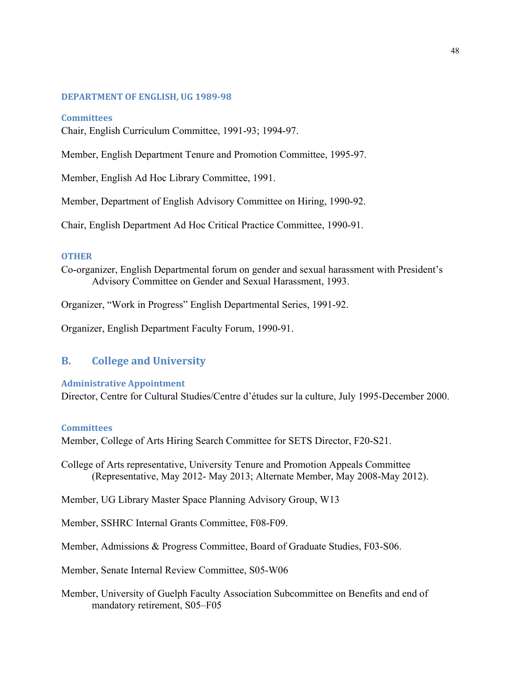## **DEPARTMENT OF ENGLISH, UG 1989-98**

## **Committees**

Chair, English Curriculum Committee, 1991-93; 1994-97.

Member, English Department Tenure and Promotion Committee, 1995-97.

Member, English Ad Hoc Library Committee, 1991.

Member, Department of English Advisory Committee on Hiring, 1990-92.

Chair, English Department Ad Hoc Critical Practice Committee, 1990-91.

## **OTHER**

Co-organizer, English Departmental forum on gender and sexual harassment with President's Advisory Committee on Gender and Sexual Harassment, 1993.

Organizer, "Work in Progress" English Departmental Series, 1991-92.

Organizer, English Department Faculty Forum, 1990-91.

## **B. College and University**

## **Administrative Appointment**

Director, Centre for Cultural Studies/Centre d'études sur la culture, July 1995-December 2000.

## **Committees**

Member, College of Arts Hiring Search Committee for SETS Director, F20-S21.

College of Arts representative, University Tenure and Promotion Appeals Committee (Representative, May 2012- May 2013; Alternate Member, May 2008-May 2012).

Member, UG Library Master Space Planning Advisory Group, W13

Member, SSHRC Internal Grants Committee, F08-F09.

Member, Admissions & Progress Committee, Board of Graduate Studies, F03-S06.

Member, Senate Internal Review Committee, S05-W06

Member, University of Guelph Faculty Association Subcommittee on Benefits and end of mandatory retirement, S05–F05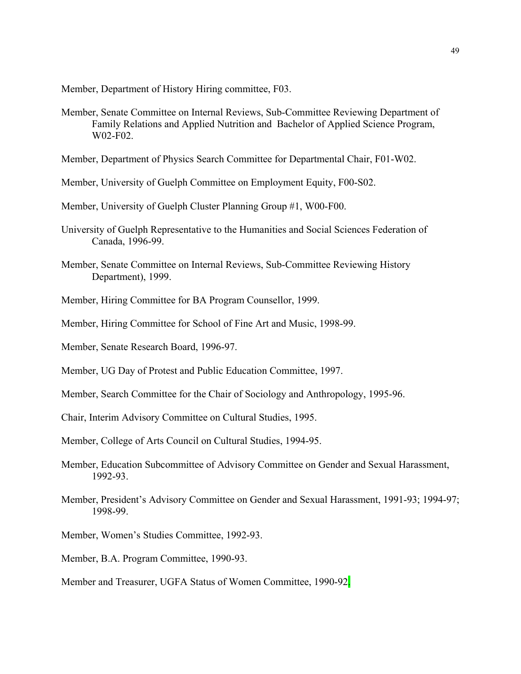Member, Department of History Hiring committee, F03.

Member, Senate Committee on Internal Reviews, Sub-Committee Reviewing Department of Family Relations and Applied Nutrition and Bachelor of Applied Science Program, W02-F02.

Member, Department of Physics Search Committee for Departmental Chair, F01-W02.

Member, University of Guelph Committee on Employment Equity, F00-S02.

Member, University of Guelph Cluster Planning Group #1, W00-F00.

- University of Guelph Representative to the Humanities and Social Sciences Federation of Canada, 1996-99.
- Member, Senate Committee on Internal Reviews, Sub-Committee Reviewing History Department), 1999.
- Member, Hiring Committee for BA Program Counsellor, 1999.
- Member, Hiring Committee for School of Fine Art and Music, 1998-99.
- Member, Senate Research Board, 1996-97.
- Member, UG Day of Protest and Public Education Committee, 1997.
- Member, Search Committee for the Chair of Sociology and Anthropology, 1995-96.

Chair, Interim Advisory Committee on Cultural Studies, 1995.

Member, College of Arts Council on Cultural Studies, 1994-95.

- Member, Education Subcommittee of Advisory Committee on Gender and Sexual Harassment, 1992-93.
- Member, President's Advisory Committee on Gender and Sexual Harassment, 1991-93; 1994-97; 1998-99.

Member, Women's Studies Committee, 1992-93.

Member, B.A. Program Committee, 1990-93.

Member and Treasurer, UGFA Status of Women Committee, 1990-92.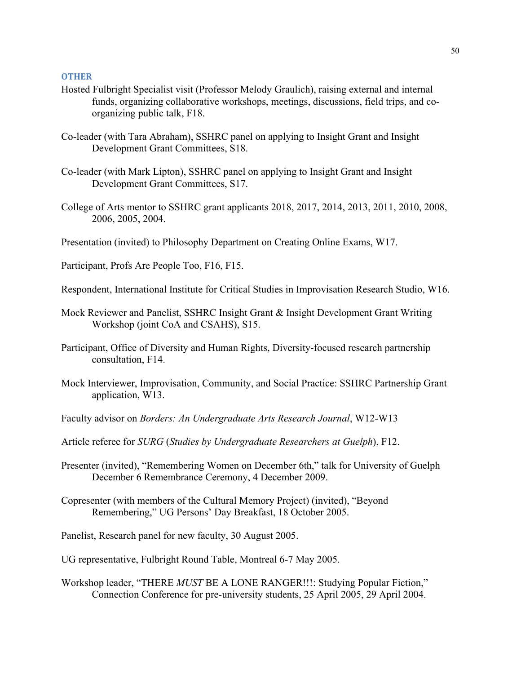#### **OTHER**

- Hosted Fulbright Specialist visit (Professor Melody Graulich), raising external and internal funds, organizing collaborative workshops, meetings, discussions, field trips, and coorganizing public talk, F18.
- Co-leader (with Tara Abraham), SSHRC panel on applying to Insight Grant and Insight Development Grant Committees, S18.
- Co-leader (with Mark Lipton), SSHRC panel on applying to Insight Grant and Insight Development Grant Committees, S17.
- College of Arts mentor to SSHRC grant applicants 2018, 2017, 2014, 2013, 2011, 2010, 2008, 2006, 2005, 2004.
- Presentation (invited) to Philosophy Department on Creating Online Exams, W17.
- Participant, Profs Are People Too, F16, F15.
- Respondent, International Institute for Critical Studies in Improvisation Research Studio, W16.
- Mock Reviewer and Panelist, SSHRC Insight Grant & Insight Development Grant Writing Workshop (joint CoA and CSAHS), S15.
- Participant, Office of Diversity and Human Rights, Diversity-focused research partnership consultation, F14.
- Mock Interviewer, Improvisation, Community, and Social Practice: SSHRC Partnership Grant application, W13.
- Faculty advisor on *Borders: An Undergraduate Arts Research Journal*, W12-W13
- Article referee for *SURG* (*Studies by Undergraduate Researchers at Guelph*), F12.
- Presenter (invited), "Remembering Women on December 6th," talk for University of Guelph December 6 Remembrance Ceremony, 4 December 2009.
- Copresenter (with members of the Cultural Memory Project) (invited), "Beyond Remembering," UG Persons' Day Breakfast, 18 October 2005.
- Panelist, Research panel for new faculty, 30 August 2005.
- UG representative, Fulbright Round Table, Montreal 6-7 May 2005.
- Workshop leader, "THERE *MUST* BE A LONE RANGER!!!: Studying Popular Fiction," Connection Conference for pre-university students, 25 April 2005, 29 April 2004.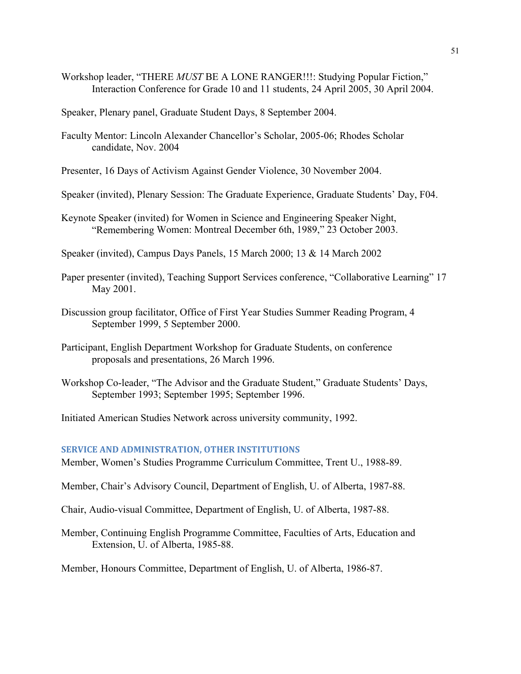- Workshop leader, "THERE *MUST* BE A LONE RANGER!!!: Studying Popular Fiction," Interaction Conference for Grade 10 and 11 students, 24 April 2005, 30 April 2004.
- Speaker, Plenary panel, Graduate Student Days, 8 September 2004.
- Faculty Mentor: Lincoln Alexander Chancellor's Scholar, 2005-06; Rhodes Scholar candidate, Nov. 2004

Presenter, 16 Days of Activism Against Gender Violence, 30 November 2004.

- Speaker (invited), Plenary Session: The Graduate Experience, Graduate Students' Day, F04.
- Keynote Speaker (invited) for Women in Science and Engineering Speaker Night, "Remembering Women: Montreal December 6th, 1989," 23 October 2003.

Speaker (invited), Campus Days Panels, 15 March 2000; 13 & 14 March 2002

- Paper presenter (invited), Teaching Support Services conference, "Collaborative Learning" 17 May 2001.
- Discussion group facilitator, Office of First Year Studies Summer Reading Program, 4 September 1999, 5 September 2000.
- Participant, English Department Workshop for Graduate Students, on conference proposals and presentations, 26 March 1996.
- Workshop Co-leader, "The Advisor and the Graduate Student," Graduate Students' Days, September 1993; September 1995; September 1996.

Initiated American Studies Network across university community, 1992.

## **SERVICE AND ADMINISTRATION, OTHER INSTITUTIONS**

Member, Women's Studies Programme Curriculum Committee, Trent U., 1988-89.

Member, Chair's Advisory Council, Department of English, U. of Alberta, 1987-88.

Chair, Audio-visual Committee, Department of English, U. of Alberta, 1987-88.

Member, Continuing English Programme Committee, Faculties of Arts, Education and Extension, U. of Alberta, 1985-88.

Member, Honours Committee, Department of English, U. of Alberta, 1986-87.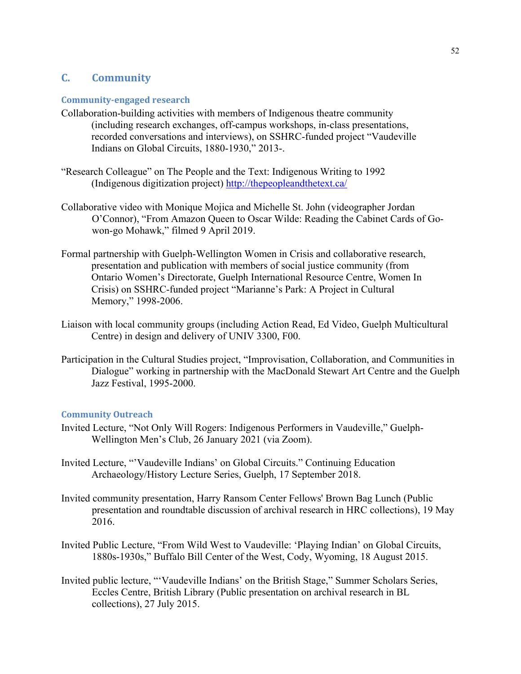# **C. Community**

## **Community-engaged research**

- Collaboration-building activities with members of Indigenous theatre community (including research exchanges, off-campus workshops, in-class presentations, recorded conversations and interviews), on SSHRC-funded project "Vaudeville Indians on Global Circuits, 1880-1930," 2013-.
- "Research Colleague" on The People and the Text: Indigenous Writing to 1992 (Indigenous digitization project)<http://thepeopleandthetext.ca/>
- Collaborative video with Monique Mojica and Michelle St. John (videographer Jordan O'Connor), "From Amazon Queen to Oscar Wilde: Reading the Cabinet Cards of Gowon-go Mohawk," filmed 9 April 2019.
- Formal partnership with Guelph-Wellington Women in Crisis and collaborative research, presentation and publication with members of social justice community (from Ontario Women's Directorate, Guelph International Resource Centre, Women In Crisis) on SSHRC-funded project "Marianne's Park: A Project in Cultural Memory," 1998-2006.
- Liaison with local community groups (including Action Read, Ed Video, Guelph Multicultural Centre) in design and delivery of UNIV 3300, F00.
- Participation in the Cultural Studies project, "Improvisation, Collaboration, and Communities in Dialogue" working in partnership with the MacDonald Stewart Art Centre and the Guelph Jazz Festival, 1995-2000.

## **Community Outreach**

- Invited Lecture, "Not Only Will Rogers: Indigenous Performers in Vaudeville," Guelph-Wellington Men's Club, 26 January 2021 (via Zoom).
- Invited Lecture, "'Vaudeville Indians' on Global Circuits." Continuing Education Archaeology/History Lecture Series, Guelph, 17 September 2018.
- Invited community presentation, Harry Ransom Center Fellows' Brown Bag Lunch (Public presentation and roundtable discussion of archival research in HRC collections), 19 May 2016.
- Invited Public Lecture, "From Wild West to Vaudeville: 'Playing Indian' on Global Circuits, 1880s-1930s," Buffalo Bill Center of the West, Cody, Wyoming, 18 August 2015.
- Invited public lecture, "'Vaudeville Indians' on the British Stage," Summer Scholars Series, Eccles Centre, British Library (Public presentation on archival research in BL collections), 27 July 2015.